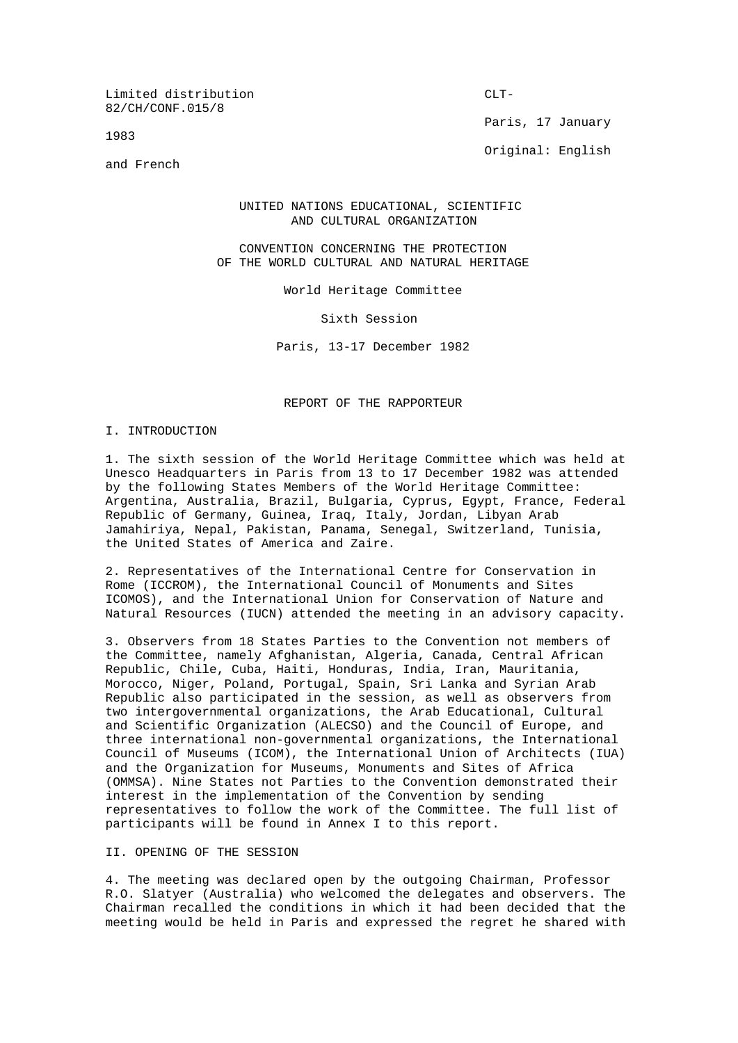Limited distribution CLT-82/CH/CONF.015/8

1983

and French

Paris, 17 January

Original: English

 UNITED NATIONS EDUCATIONAL, SCIENTIFIC AND CULTURAL ORGANIZATION

 CONVENTION CONCERNING THE PROTECTION OF THE WORLD CULTURAL AND NATURAL HERITAGE

World Heritage Committee

Sixth Session

Paris, 13-17 December 1982

REPORT OF THE RAPPORTEUR

#### I. INTRODUCTION

1. The sixth session of the World Heritage Committee which was held at Unesco Headquarters in Paris from 13 to 17 December 1982 was attended by the following States Members of the World Heritage Committee: Argentina, Australia, Brazil, Bulgaria, Cyprus, Egypt, France, Federal Republic of Germany, Guinea, Iraq, Italy, Jordan, Libyan Arab Jamahiriya, Nepal, Pakistan, Panama, Senegal, Switzerland, Tunisia, the United States of America and Zaire.

2. Representatives of the International Centre for Conservation in Rome (ICCROM), the International Council of Monuments and Sites ICOMOS), and the International Union for Conservation of Nature and Natural Resources (IUCN) attended the meeting in an advisory capacity.

3. Observers from 18 States Parties to the Convention not members of the Committee, namely Afghanistan, Algeria, Canada, Central African Republic, Chile, Cuba, Haiti, Honduras, India, Iran, Mauritania, Morocco, Niger, Poland, Portugal, Spain, Sri Lanka and Syrian Arab Republic also participated in the session, as well as observers from two intergovernmental organizations, the Arab Educational, Cultural and Scientific Organization (ALECSO) and the Council of Europe, and three international non-governmental organizations, the International Council of Museums (ICOM), the International Union of Architects (IUA) and the Organization for Museums, Monuments and Sites of Africa (OMMSA). Nine States not Parties to the Convention demonstrated their interest in the implementation of the Convention by sending representatives to follow the work of the Committee. The full list of participants will be found in Annex I to this report.

# II. OPENING OF THE SESSION

4. The meeting was declared open by the outgoing Chairman, Professor R.O. Slatyer (Australia) who welcomed the delegates and observers. The Chairman recalled the conditions in which it had been decided that the meeting would be held in Paris and expressed the regret he shared with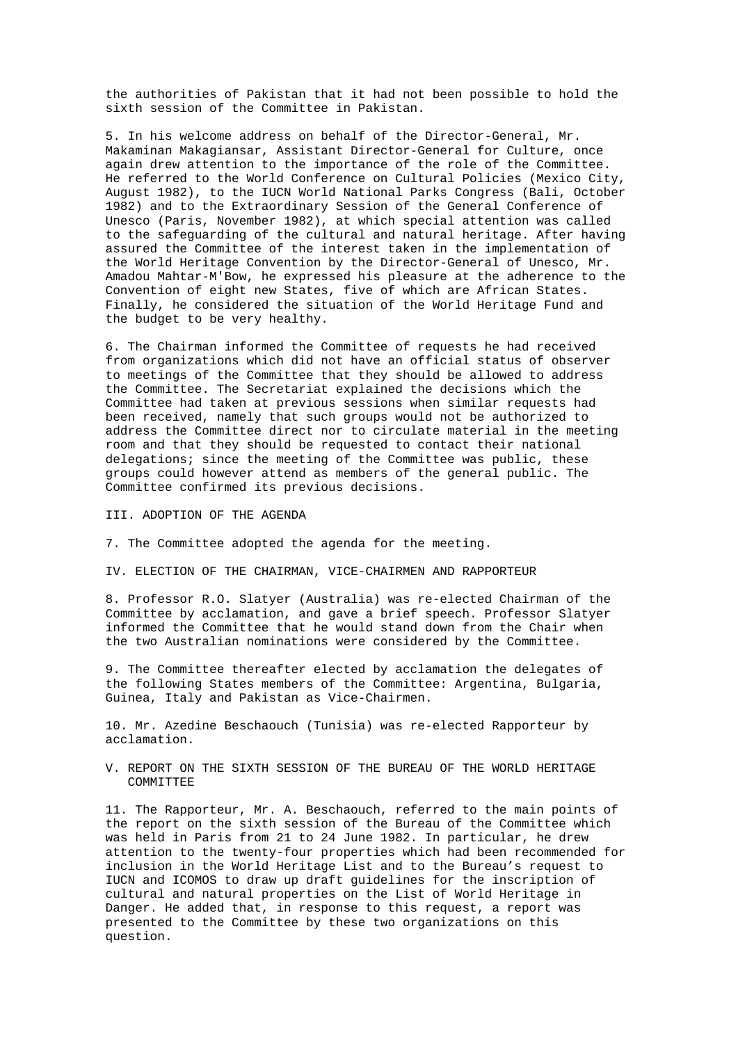the authorities of Pakistan that it had not been possible to hold the sixth session of the Committee in Pakistan.

5. In his welcome address on behalf of the Director-General, Mr. Makaminan Makagiansar, Assistant Director-General for Culture, once again drew attention to the importance of the role of the Committee. He referred to the World Conference on Cultural Policies (Mexico City, August 1982), to the IUCN World National Parks Congress (Bali, October 1982) and to the Extraordinary Session of the General Conference of Unesco (Paris, November 1982), at which special attention was called to the safeguarding of the cultural and natural heritage. After having assured the Committee of the interest taken in the implementation of the World Heritage Convention by the Director-General of Unesco, Mr. Amadou Mahtar-M'Bow, he expressed his pleasure at the adherence to the Convention of eight new States, five of which are African States. Finally, he considered the situation of the World Heritage Fund and the budget to be very healthy.

6. The Chairman informed the Committee of requests he had received from organizations which did not have an official status of observer to meetings of the Committee that they should be allowed to address the Committee. The Secretariat explained the decisions which the Committee had taken at previous sessions when similar requests had been received, namely that such groups would not be authorized to address the Committee direct nor to circulate material in the meeting room and that they should be requested to contact their national delegations; since the meeting of the Committee was public, these groups could however attend as members of the general public. The Committee confirmed its previous decisions.

III. ADOPTION OF THE AGENDA

7. The Committee adopted the agenda for the meeting.

IV. ELECTION OF THE CHAIRMAN, VICE-CHAIRMEN AND RAPPORTEUR

8. Professor R.O. Slatyer (Australia) was re-elected Chairman of the Committee by acclamation, and gave a brief speech. Professor Slatyer informed the Committee that he would stand down from the Chair when the two Australian nominations were considered by the Committee.

9. The Committee thereafter elected by acclamation the delegates of the following States members of the Committee: Argentina, Bulgaria, Guinea, Italy and Pakistan as Vice-Chairmen.

10. Mr. Azedine Beschaouch (Tunisia) was re-elected Rapporteur by acclamation.

V. REPORT ON THE SIXTH SESSION OF THE BUREAU OF THE WORLD HERITAGE COMMITTEE

11. The Rapporteur, Mr. A. Beschaouch, referred to the main points of the report on the sixth session of the Bureau of the Committee which was held in Paris from 21 to 24 June 1982. In particular, he drew attention to the twenty-four properties which had been recommended for inclusion in the World Heritage List and to the Bureau's request to IUCN and ICOMOS to draw up draft guidelines for the inscription of cultural and natural properties on the List of World Heritage in Danger. He added that, in response to this request, a report was presented to the Committee by these two organizations on this question.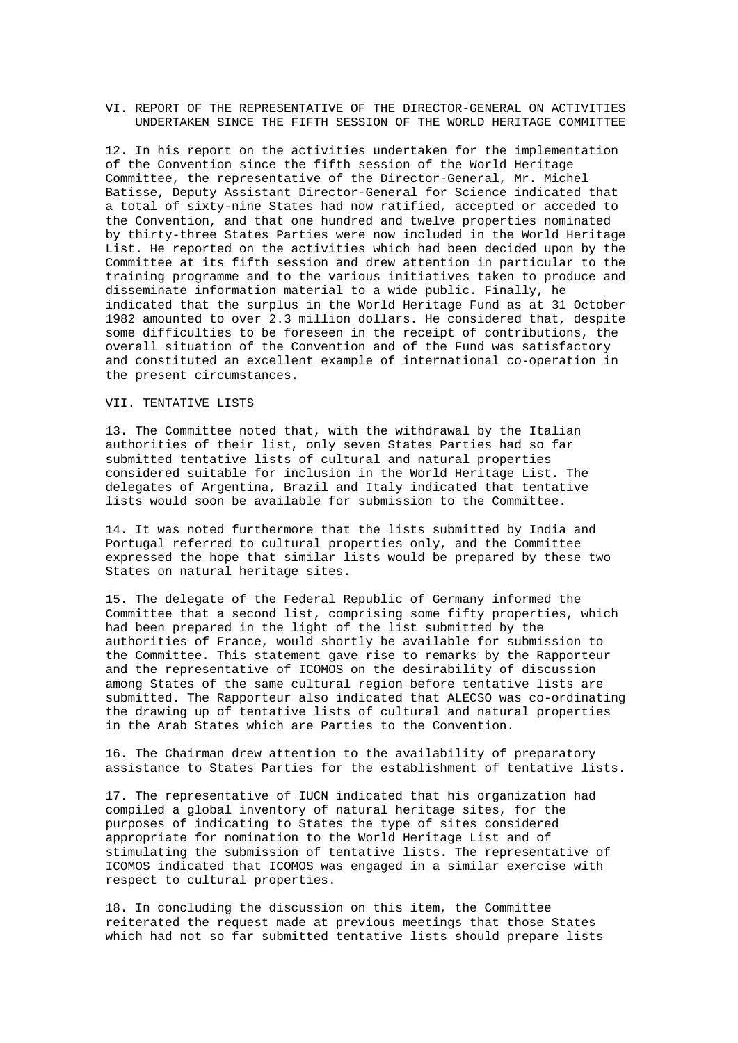VI. REPORT OF THE REPRESENTATIVE OF THE DIRECTOR-GENERAL ON ACTIVITIES UNDERTAKEN SINCE THE FIFTH SESSION OF THE WORLD HERITAGE COMMITTEE

12. In his report on the activities undertaken for the implementation of the Convention since the fifth session of the World Heritage Committee, the representative of the Director-General, Mr. Michel Batisse, Deputy Assistant Director-General for Science indicated that a total of sixty-nine States had now ratified, accepted or acceded to the Convention, and that one hundred and twelve properties nominated by thirty-three States Parties were now included in the World Heritage List. He reported on the activities which had been decided upon by the Committee at its fifth session and drew attention in particular to the training programme and to the various initiatives taken to produce and disseminate information material to a wide public. Finally, he indicated that the surplus in the World Heritage Fund as at 31 October 1982 amounted to over 2.3 million dollars. He considered that, despite some difficulties to be foreseen in the receipt of contributions, the overall situation of the Convention and of the Fund was satisfactory and constituted an excellent example of international co-operation in the present circumstances.

## VII. TENTATIVE LISTS

13. The Committee noted that, with the withdrawal by the Italian authorities of their list, only seven States Parties had so far submitted tentative lists of cultural and natural properties considered suitable for inclusion in the World Heritage List. The delegates of Argentina, Brazil and Italy indicated that tentative lists would soon be available for submission to the Committee.

14. It was noted furthermore that the lists submitted by India and Portugal referred to cultural properties only, and the Committee expressed the hope that similar lists would be prepared by these two States on natural heritage sites.

15. The delegate of the Federal Republic of Germany informed the Committee that a second list, comprising some fifty properties, which had been prepared in the light of the list submitted by the authorities of France, would shortly be available for submission to the Committee. This statement gave rise to remarks by the Rapporteur and the representative of ICOMOS on the desirability of discussion among States of the same cultural region before tentative lists are submitted. The Rapporteur also indicated that ALECSO was co-ordinating the drawing up of tentative lists of cultural and natural properties in the Arab States which are Parties to the Convention.

16. The Chairman drew attention to the availability of preparatory assistance to States Parties for the establishment of tentative lists.

17. The representative of IUCN indicated that his organization had compiled a global inventory of natural heritage sites, for the purposes of indicating to States the type of sites considered appropriate for nomination to the World Heritage List and of stimulating the submission of tentative lists. The representative of ICOMOS indicated that ICOMOS was engaged in a similar exercise with respect to cultural properties.

18. In concluding the discussion on this item, the Committee reiterated the request made at previous meetings that those States which had not so far submitted tentative lists should prepare lists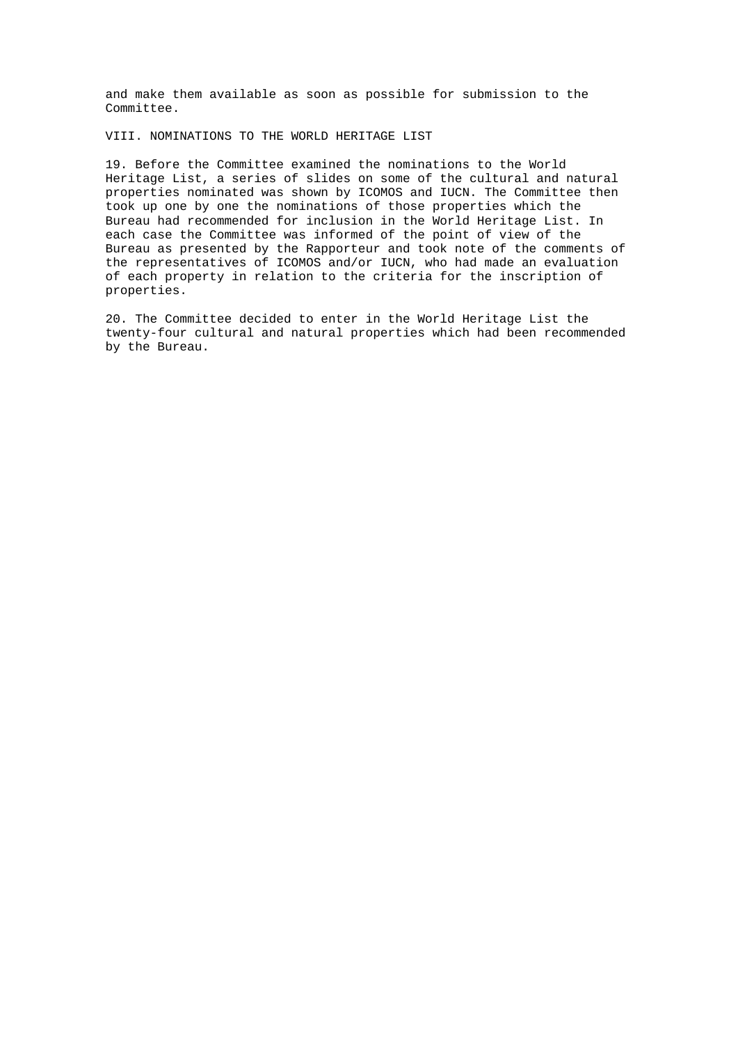and make them available as soon as possible for submission to the Committee.

VIII. NOMINATIONS TO THE WORLD HERITAGE LIST

19. Before the Committee examined the nominations to the World Heritage List, a series of slides on some of the cultural and natural properties nominated was shown by ICOMOS and IUCN. The Committee then took up one by one the nominations of those properties which the Bureau had recommended for inclusion in the World Heritage List. In each case the Committee was informed of the point of view of the Bureau as presented by the Rapporteur and took note of the comments of the representatives of ICOMOS and/or IUCN, who had made an evaluation of each property in relation to the criteria for the inscription of properties.

20. The Committee decided to enter in the World Heritage List the twenty-four cultural and natural properties which had been recommended by the Bureau.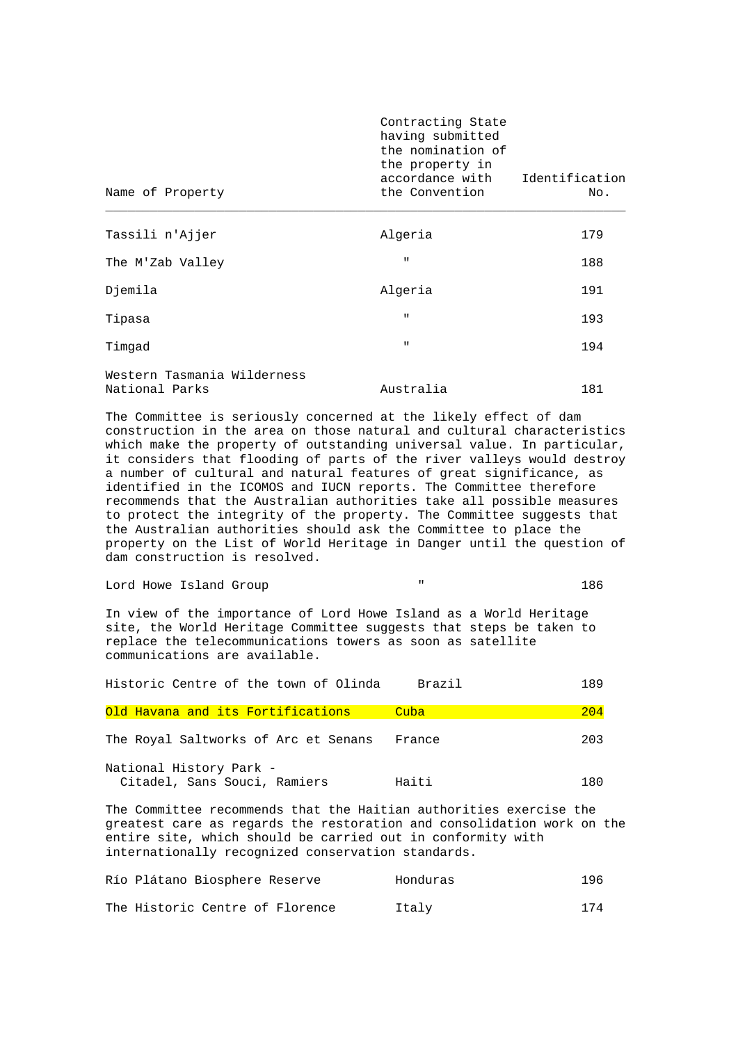| Name of Property                              | Contracting State<br>having submitted<br>the nomination of<br>the property in<br>accordance with Identification<br>the Convention | No. |
|-----------------------------------------------|-----------------------------------------------------------------------------------------------------------------------------------|-----|
| Tassili n'Ajjer                               | Algeria                                                                                                                           | 179 |
| The M'Zab Valley                              | $\mathbf{u}$                                                                                                                      | 188 |
| Djemila                                       | Algeria                                                                                                                           | 191 |
| Tipasa                                        | $\mathbf{u}$                                                                                                                      | 193 |
| Timgad                                        | $\mathbf{u}$                                                                                                                      | 194 |
| Western Tasmania Wilderness<br>National Parks | Australia                                                                                                                         | 181 |

The Committee is seriously concerned at the likely effect of dam construction in the area on those natural and cultural characteristics which make the property of outstanding universal value. In particular, it considers that flooding of parts of the river valleys would destroy a number of cultural and natural features of great significance, as identified in the ICOMOS and IUCN reports. The Committee therefore recommends that the Australian authorities take all possible measures to protect the integrity of the property. The Committee suggests that the Australian authorities should ask the Committee to place the property on the List of World Heritage in Danger until the question of dam construction is resolved.

Lord Howe Island Group **"** The last many last method is not in the last method is not in the last method is not in the last method in the last method is not in the last method in the last method is not in the last method i

In view of the importance of Lord Howe Island as a World Heritage site, the World Heritage Committee suggests that steps be taken to replace the telecommunications towers as soon as satellite communications are available.

| Historic Centre of the town of Olinda<br>Brazil | 189 |
|-------------------------------------------------|-----|
|-------------------------------------------------|-----|

| Old Havana and its Fortifications                       | Cuba   | 204 |
|---------------------------------------------------------|--------|-----|
| The Royal Saltworks of Arc et Senans                    | France | 203 |
| National History Park -<br>Citadel, Sans Souci, Ramiers | Haiti  | 180 |

The Committee recommends that the Haitian authorities exercise the greatest care as regards the restoration and consolidation work on the entire site, which should be carried out in conformity with internationally recognized conservation standards.

| Río Plátano Biosphere Reserve   |  | Honduras | 196 |
|---------------------------------|--|----------|-----|
| The Historic Centre of Florence |  | Italy    | 174 |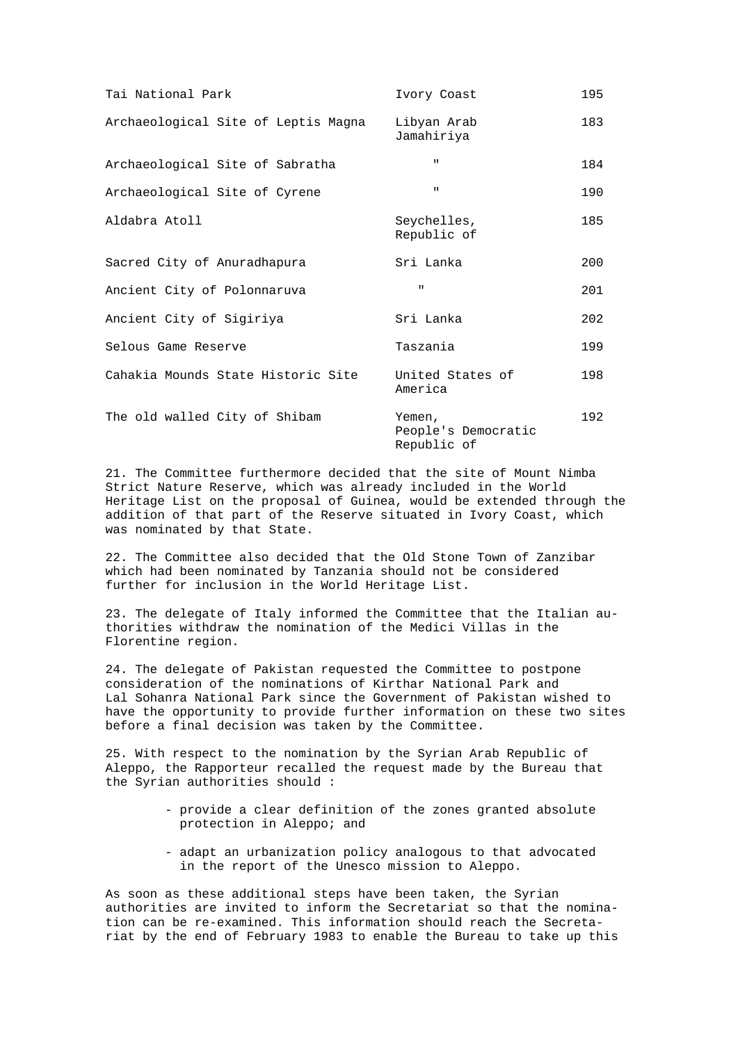| Tai National Park                   | Ivory Coast                                  | 195 |
|-------------------------------------|----------------------------------------------|-----|
| Archaeological Site of Leptis Magna | Libyan Arab<br>Jamahiriya                    | 183 |
| Archaeological Site of Sabratha     | $\mathbf{u}$                                 | 184 |
| Archaeological Site of Cyrene       | $\mathbf{H}$                                 | 190 |
| Aldabra Atoll                       | Seychelles,<br>Republic of                   | 185 |
| Sacred City of Anuradhapura         | Sri Lanka                                    | 200 |
| Ancient City of Polonnaruva         | $\mathbf{u}$                                 | 201 |
| Ancient City of Sigiriya            | Sri Lanka                                    | 202 |
| Selous Game Reserve                 | Taszania                                     | 199 |
| Cahakia Mounds State Historic Site  | United States of<br>America                  | 198 |
| The old walled City of Shibam       | Yemen,<br>People's Democratic<br>Republic of | 192 |

21. The Committee furthermore decided that the site of Mount Nimba Strict Nature Reserve, which was already included in the World Heritage List on the proposal of Guinea, would be extended through the addition of that part of the Reserve situated in Ivory Coast, which was nominated by that State.

22. The Committee also decided that the Old Stone Town of Zanzibar which had been nominated by Tanzania should not be considered further for inclusion in the World Heritage List.

23. The delegate of Italy informed the Committee that the Italian authorities withdraw the nomination of the Medici Villas in the Florentine region.

24. The delegate of Pakistan requested the Committee to postpone consideration of the nominations of Kirthar National Park and Lal Sohanra National Park since the Government of Pakistan wished to have the opportunity to provide further information on these two sites before a final decision was taken by the Committee.

25. With respect to the nomination by the Syrian Arab Republic of Aleppo, the Rapporteur recalled the request made by the Bureau that the Syrian authorities should :

- provide a clear definition of the zones granted absolute protection in Aleppo; and
- adapt an urbanization policy analogous to that advocated in the report of the Unesco mission to Aleppo.

As soon as these additional steps have been taken, the Syrian authorities are invited to inform the Secretariat so that the nomination can be re-examined. This information should reach the Secretariat by the end of February 1983 to enable the Bureau to take up this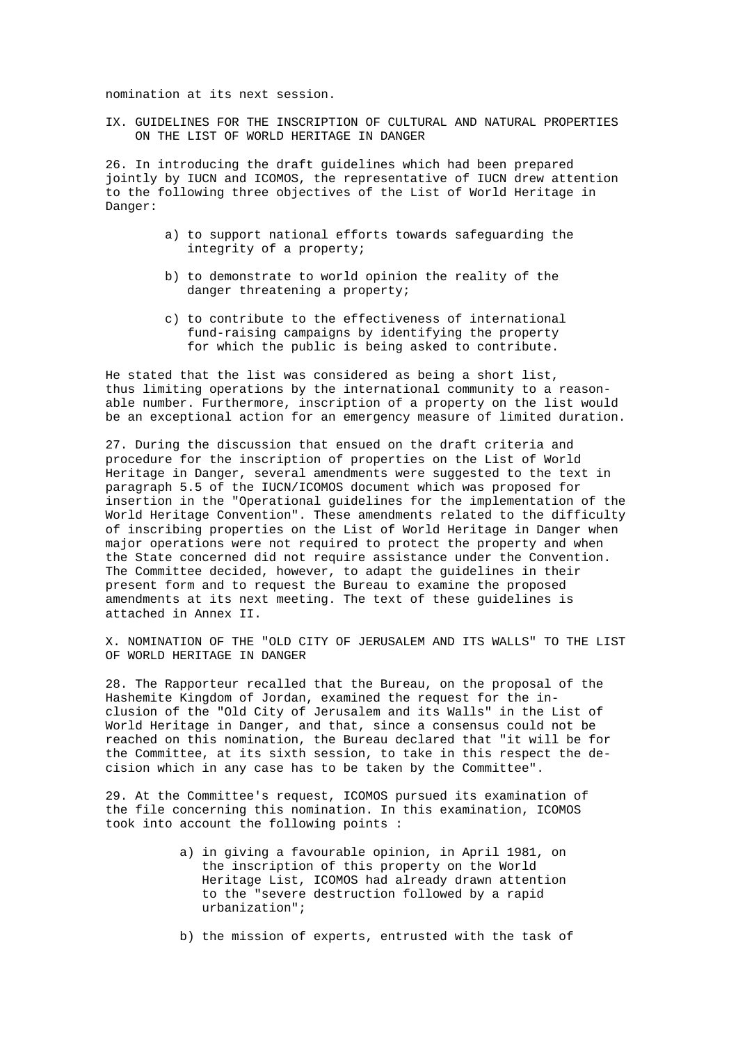nomination at its next session.

IX. GUIDELINES FOR THE INSCRIPTION OF CULTURAL AND NATURAL PROPERTIES ON THE LIST OF WORLD HERITAGE IN DANGER

26. In introducing the draft guidelines which had been prepared jointly by IUCN and ICOMOS, the representative of IUCN drew attention to the following three objectives of the List of World Heritage in Danger:

- a) to support national efforts towards safeguarding the integrity of a property;
- b) to demonstrate to world opinion the reality of the danger threatening a property;
- c) to contribute to the effectiveness of international fund-raising campaigns by identifying the property for which the public is being asked to contribute.

He stated that the list was considered as being a short list, thus limiting operations by the international community to a reasonable number. Furthermore, inscription of a property on the list would be an exceptional action for an emergency measure of limited duration.

27. During the discussion that ensued on the draft criteria and procedure for the inscription of properties on the List of World Heritage in Danger, several amendments were suggested to the text in paragraph 5.5 of the IUCN/ICOMOS document which was proposed for insertion in the "Operational guidelines for the implementation of the World Heritage Convention". These amendments related to the difficulty of inscribing properties on the List of World Heritage in Danger when major operations were not required to protect the property and when the State concerned did not require assistance under the Convention. The Committee decided, however, to adapt the guidelines in their present form and to request the Bureau to examine the proposed amendments at its next meeting. The text of these guidelines is attached in Annex II.

X. NOMINATION OF THE "OLD CITY OF JERUSALEM AND ITS WALLS" TO THE LIST OF WORLD HERITAGE IN DANGER

28. The Rapporteur recalled that the Bureau, on the proposal of the Hashemite Kingdom of Jordan, examined the request for the inclusion of the "Old City of Jerusalem and its Walls" in the List of World Heritage in Danger, and that, since a consensus could not be reached on this nomination, the Bureau declared that "it will be for the Committee, at its sixth session, to take in this respect the decision which in any case has to be taken by the Committee".

29. At the Committee's request, ICOMOS pursued its examination of the file concerning this nomination. In this examination, ICOMOS took into account the following points :

- a) in giving a favourable opinion, in April 1981, on the inscription of this property on the World Heritage List, ICOMOS had already drawn attention to the "severe destruction followed by a rapid urbanization";
- b) the mission of experts, entrusted with the task of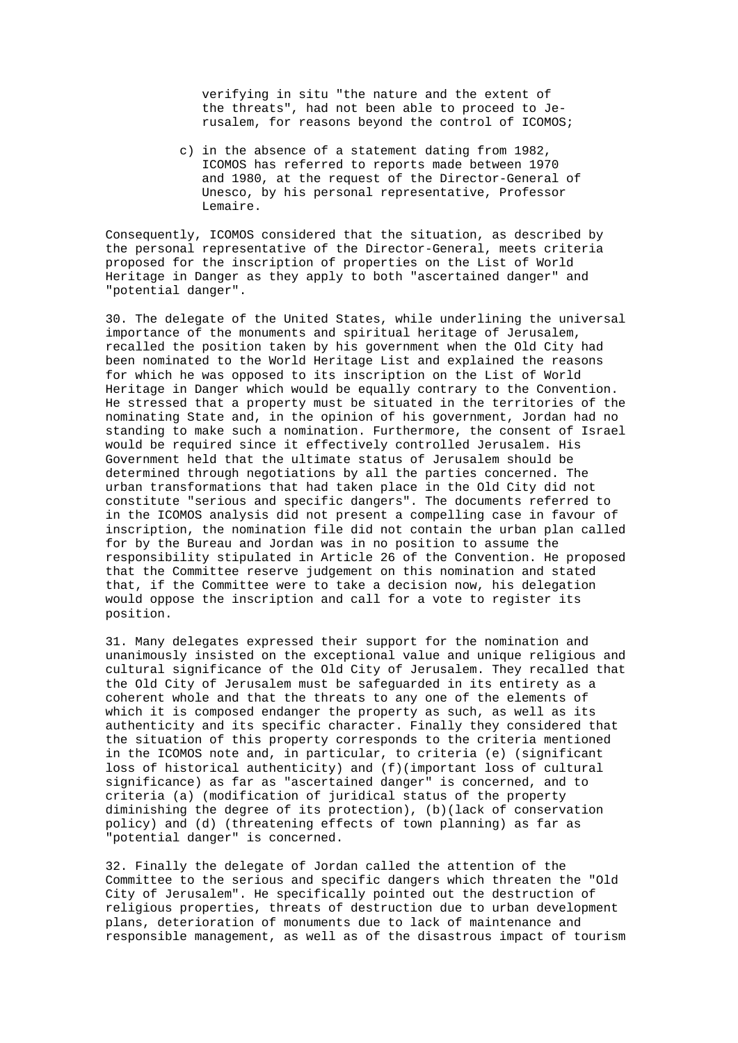verifying in situ "the nature and the extent of the threats", had not been able to proceed to Je rusalem, for reasons beyond the control of ICOMOS;

 c) in the absence of a statement dating from 1982, ICOMOS has referred to reports made between 1970 and 1980, at the request of the Director-General of Unesco, by his personal representative, Professor Lemaire.

Consequently, ICOMOS considered that the situation, as described by the personal representative of the Director-General, meets criteria proposed for the inscription of properties on the List of World Heritage in Danger as they apply to both "ascertained danger" and "potential danger".

30. The delegate of the United States, while underlining the universal importance of the monuments and spiritual heritage of Jerusalem, recalled the position taken by his government when the Old City had been nominated to the World Heritage List and explained the reasons for which he was opposed to its inscription on the List of World Heritage in Danger which would be equally contrary to the Convention. He stressed that a property must be situated in the territories of the nominating State and, in the opinion of his government, Jordan had no standing to make such a nomination. Furthermore, the consent of Israel would be required since it effectively controlled Jerusalem. His Government held that the ultimate status of Jerusalem should be determined through negotiations by all the parties concerned. The urban transformations that had taken place in the Old City did not constitute "serious and specific dangers". The documents referred to in the ICOMOS analysis did not present a compelling case in favour of inscription, the nomination file did not contain the urban plan called for by the Bureau and Jordan was in no position to assume the responsibility stipulated in Article 26 of the Convention. He proposed that the Committee reserve judgement on this nomination and stated that, if the Committee were to take a decision now, his delegation would oppose the inscription and call for a vote to register its position.

31. Many delegates expressed their support for the nomination and unanimously insisted on the exceptional value and unique religious and cultural significance of the Old City of Jerusalem. They recalled that the Old City of Jerusalem must be safeguarded in its entirety as a coherent whole and that the threats to any one of the elements of which it is composed endanger the property as such, as well as its authenticity and its specific character. Finally they considered that the situation of this property corresponds to the criteria mentioned in the ICOMOS note and, in particular, to criteria (e) (significant loss of historical authenticity) and (f)(important loss of cultural significance) as far as "ascertained danger" is concerned, and to criteria (a) (modification of juridical status of the property diminishing the degree of its protection), (b)(lack of conservation policy) and (d) (threatening effects of town planning) as far as "potential danger" is concerned.

32. Finally the delegate of Jordan called the attention of the Committee to the serious and specific dangers which threaten the "Old City of Jerusalem". He specifically pointed out the destruction of religious properties, threats of destruction due to urban development plans, deterioration of monuments due to lack of maintenance and responsible management, as well as of the disastrous impact of tourism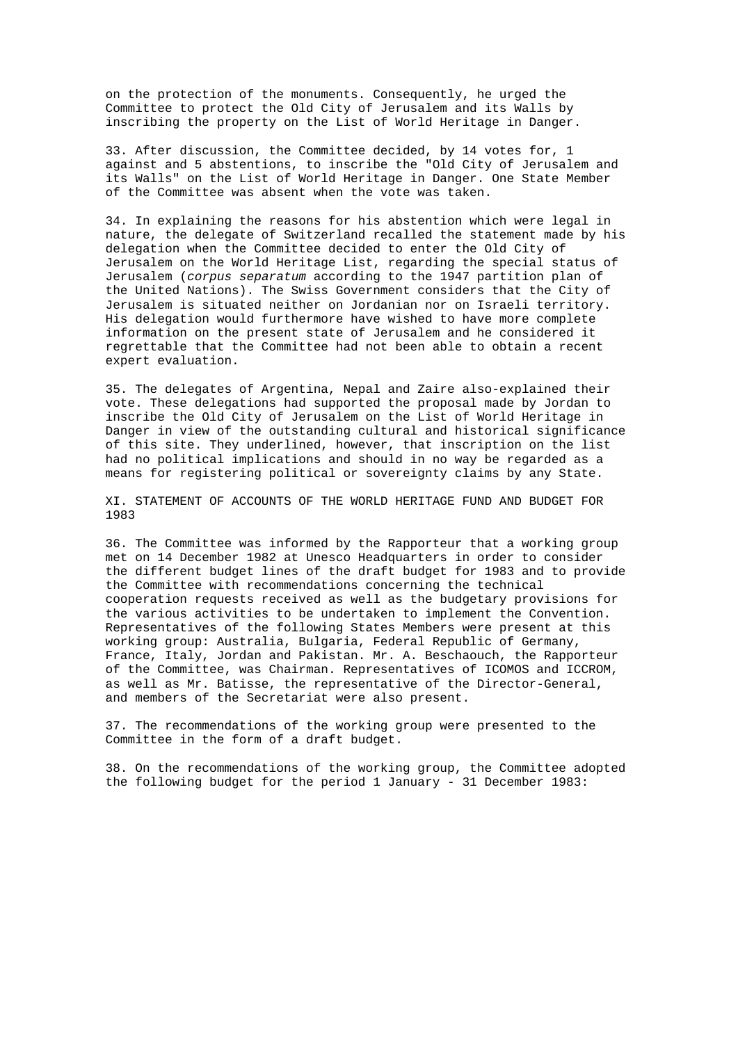on the protection of the monuments. Consequently, he urged the Committee to protect the Old City of Jerusalem and its Walls by inscribing the property on the List of World Heritage in Danger.

33. After discussion, the Committee decided, by 14 votes for, 1 against and 5 abstentions, to inscribe the "Old City of Jerusalem and its Walls" on the List of World Heritage in Danger. One State Member of the Committee was absent when the vote was taken.

34. In explaining the reasons for his abstention which were legal in nature, the delegate of Switzerland recalled the statement made by his delegation when the Committee decided to enter the Old City of Jerusalem on the World Heritage List, regarding the special status of Jerusalem (*corpus separatum* according to the 1947 partition plan of the United Nations). The Swiss Government considers that the City of Jerusalem is situated neither on Jordanian nor on Israeli territory. His delegation would furthermore have wished to have more complete information on the present state of Jerusalem and he considered it regrettable that the Committee had not been able to obtain a recent expert evaluation.

35. The delegates of Argentina, Nepal and Zaire also-explained their vote. These delegations had supported the proposal made by Jordan to inscribe the Old City of Jerusalem on the List of World Heritage in Danger in view of the outstanding cultural and historical significance of this site. They underlined, however, that inscription on the list had no political implications and should in no way be regarded as a means for registering political or sovereignty claims by any State.

XI. STATEMENT OF ACCOUNTS OF THE WORLD HERITAGE FUND AND BUDGET FOR 1983

36. The Committee was informed by the Rapporteur that a working group met on 14 December 1982 at Unesco Headquarters in order to consider the different budget lines of the draft budget for 1983 and to provide the Committee with recommendations concerning the technical cooperation requests received as well as the budgetary provisions for the various activities to be undertaken to implement the Convention. Representatives of the following States Members were present at this working group: Australia, Bulgaria, Federal Republic of Germany, France, Italy, Jordan and Pakistan. Mr. A. Beschaouch, the Rapporteur of the Committee, was Chairman. Representatives of ICOMOS and ICCROM, as well as Mr. Batisse, the representative of the Director-General, and members of the Secretariat were also present.

37. The recommendations of the working group were presented to the Committee in the form of a draft budget.

38. On the recommendations of the working group, the Committee adopted the following budget for the period 1 January - 31 December 1983: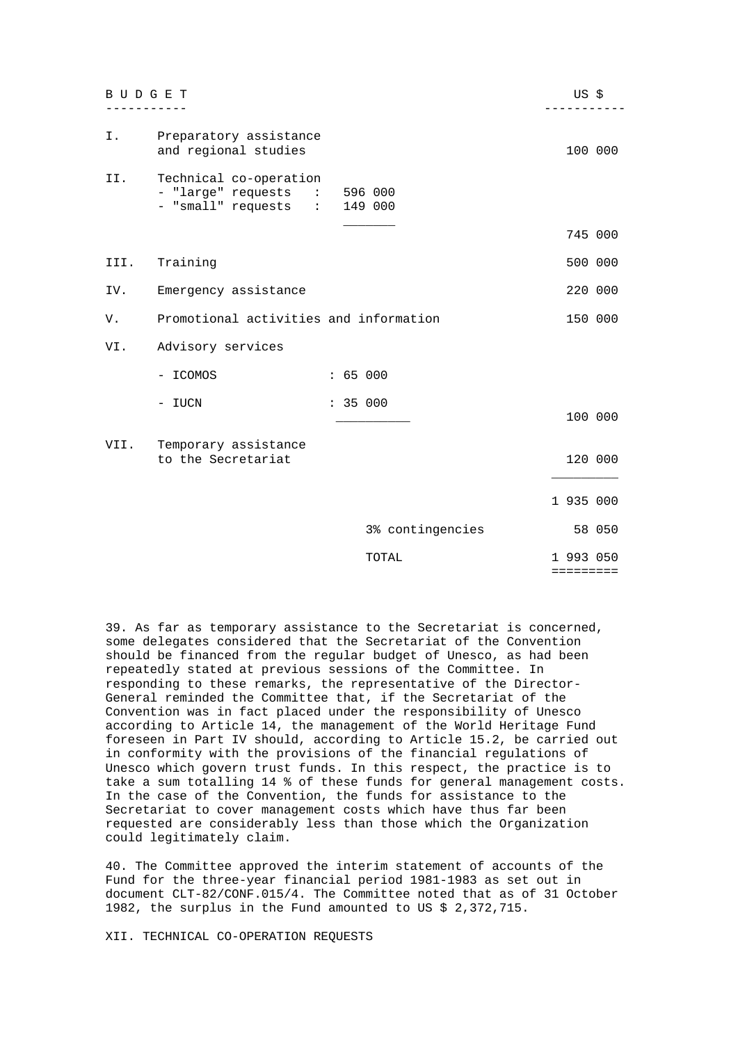| <b>BUDGET</b> |                                                                                        |                  | US \$                            |        |
|---------------|----------------------------------------------------------------------------------------|------------------|----------------------------------|--------|
|               |                                                                                        |                  |                                  |        |
| I.            | Preparatory assistance<br>and regional studies                                         |                  | 100 000                          |        |
| II.           | Technical co-operation<br>- "large" requests : 596 000<br>- "small" requests : 149 000 |                  |                                  |        |
|               |                                                                                        |                  | 745 000                          |        |
| III.          | Training                                                                               |                  | 500 000                          |        |
| IV.           | Emergency assistance                                                                   |                  | 220 000                          |        |
| V.            | Promotional activities and information                                                 |                  | 150 000                          |        |
| VI.           | Advisory services                                                                      |                  |                                  |        |
|               | - ICOMOS                                                                               | : 65000          |                                  |        |
|               | - IUCN                                                                                 | : 35000          | 100 000                          |        |
| VII.          | Temporary assistance<br>to the Secretariat                                             |                  | 120 000                          |        |
|               |                                                                                        |                  | 1 935 000                        |        |
|               |                                                                                        | 3% contingencies |                                  | 58 050 |
|               |                                                                                        | TOTAL            | 1 993 050<br>$=$ = = = = = = = = |        |

39. As far as temporary assistance to the Secretariat is concerned, some delegates considered that the Secretariat of the Convention should be financed from the regular budget of Unesco, as had been repeatedly stated at previous sessions of the Committee. In responding to these remarks, the representative of the Director-General reminded the Committee that, if the Secretariat of the Convention was in fact placed under the responsibility of Unesco according to Article 14, the management of the World Heritage Fund foreseen in Part IV should, according to Article 15.2, be carried out in conformity with the provisions of the financial regulations of Unesco which govern trust funds. In this respect, the practice is to take a sum totalling 14 % of these funds for general management costs. In the case of the Convention, the funds for assistance to the Secretariat to cover management costs which have thus far been requested are considerably less than those which the Organization could legitimately claim.

40. The Committee approved the interim statement of accounts of the Fund for the three-year financial period 1981-1983 as set out in document CLT-82/CONF.015/4. The Committee noted that as of 31 October 1982, the surplus in the Fund amounted to US \$ 2,372,715.

XII. TECHNICAL CO-OPERATION REQUESTS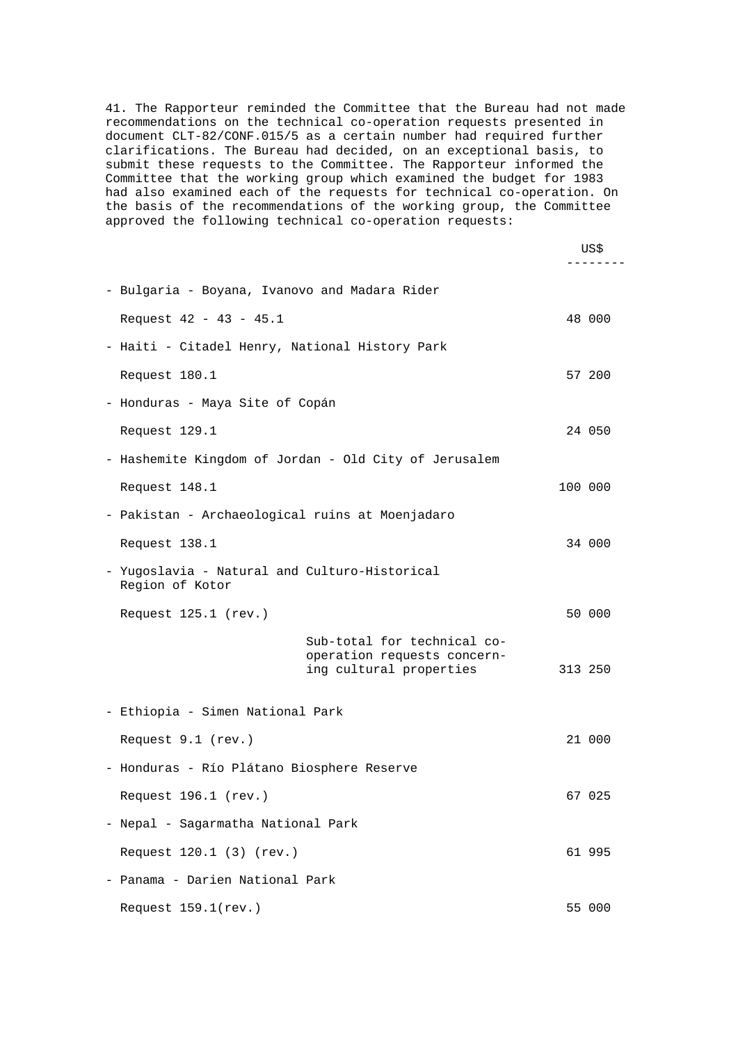41. The Rapporteur reminded the Committee that the Bureau had not made recommendations on the technical co-operation requests presented in document CLT-82/CONF.015/5 as a certain number had required further clarifications. The Bureau had decided, on an exceptional basis, to submit these requests to the Committee. The Rapporteur informed the Committee that the working group which examined the budget for 1983 had also examined each of the requests for technical co-operation. On the basis of the recommendations of the working group, the Committee approved the following technical co-operation requests:

TES ANGLES ANGLES ANGLES ANGLES ANGLES ANGLES ANGLES ANGLES ANGLES ANGLES ANGLES ANGLES ANGLES ANGLES ANGLES

|                                                                                       | -------- |
|---------------------------------------------------------------------------------------|----------|
| - Bulgaria - Boyana, Ivanovo and Madara Rider                                         |          |
| Request 42 - 43 - 45.1                                                                | 48 000   |
| - Haiti - Citadel Henry, National History Park                                        |          |
| Request 180.1                                                                         | 57 200   |
| - Honduras - Maya Site of Copán                                                       |          |
| Request 129.1                                                                         | 24 050   |
| - Hashemite Kingdom of Jordan - Old City of Jerusalem                                 |          |
| Request 148.1                                                                         | 100 000  |
| - Pakistan - Archaeological ruins at Moenjadaro                                       |          |
| Request 138.1                                                                         | 34 000   |
| - Yugoslavia - Natural and Culturo-Historical<br>Region of Kotor                      |          |
| Request 125.1 (rev.)                                                                  | 50 000   |
| Sub-total for technical co-<br>operation requests concern-<br>ing cultural properties | 313 250  |
| - Ethiopia - Simen National Park                                                      |          |
| Request 9.1 (rev.)                                                                    | 21 000   |
| - Honduras - Río Plátano Biosphere Reserve                                            |          |
| Request 196.1 (rev.)                                                                  | 67 025   |
| - Nepal - Sagarmatha National Park                                                    |          |
| Request 120.1 (3) (rev.)                                                              | 61 995   |
| - Panama - Darien National Park                                                       |          |
| Request 159.1(rev.)                                                                   | 55 000   |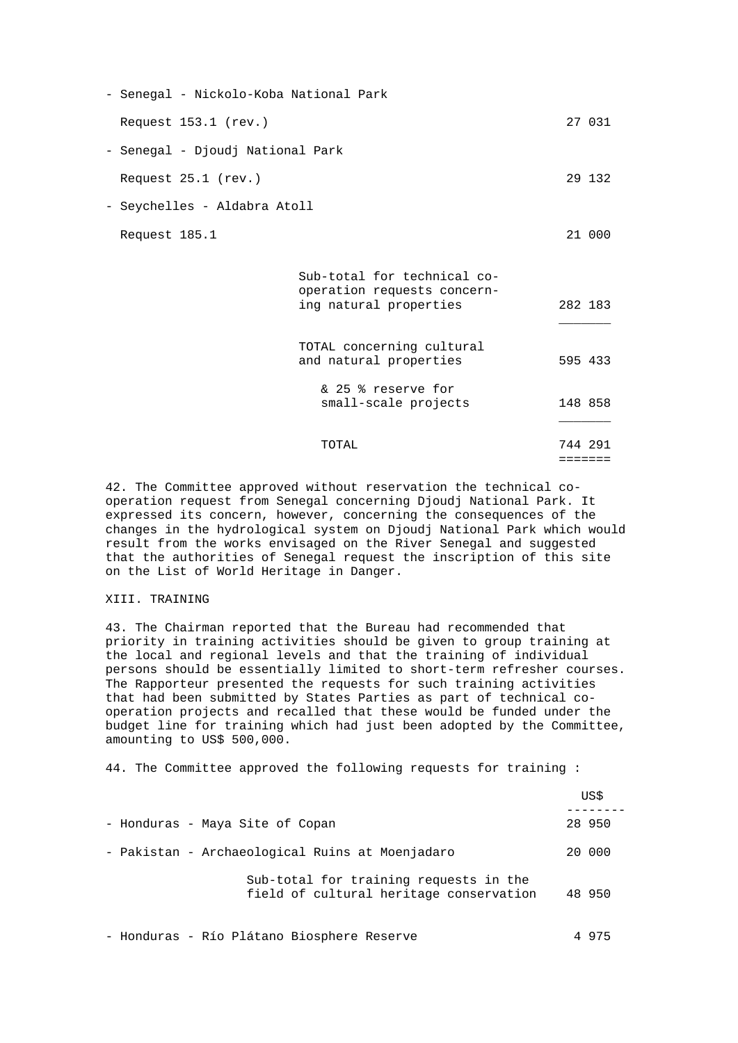| - Senegal - Nickolo-Koba National Park |                                                                                      |                    |
|----------------------------------------|--------------------------------------------------------------------------------------|--------------------|
| Request 153.1 (rev.)                   |                                                                                      | 27 031             |
| - Senegal - Djoudj National Park       |                                                                                      |                    |
| Request 25.1 (rev.)                    |                                                                                      | 29 132             |
| - Seychelles - Aldabra Atoll           |                                                                                      |                    |
| Request 185.1                          |                                                                                      | 21 000             |
|                                        | Sub-total for technical co-<br>operation requests concern-<br>ing natural properties | 282 183            |
|                                        | TOTAL concerning cultural<br>and natural properties                                  | 595 433            |
|                                        | & 25 % reserve for<br>small-scale projects                                           | 148 858            |
|                                        | TOTAL                                                                                | 744 291<br>======= |

42. The Committee approved without reservation the technical cooperation request from Senegal concerning Djoudj National Park. It expressed its concern, however, concerning the consequences of the changes in the hydrological system on Djoudj National Park which would result from the works envisaged on the River Senegal and suggested that the authorities of Senegal request the inscription of this site on the List of World Heritage in Danger.

## XIII. TRAINING

43. The Chairman reported that the Bureau had recommended that priority in training activities should be given to group training at the local and regional levels and that the training of individual persons should be essentially limited to short-term refresher courses. The Rapporteur presented the requests for such training activities that had been submitted by States Parties as part of technical cooperation projects and recalled that these would be funded under the budget line for training which had just been adopted by the Committee, amounting to US\$ 500,000.

44. The Committee approved the following requests for training :

|                                                                                   | US\$   |
|-----------------------------------------------------------------------------------|--------|
| - Honduras - Maya Site of Copan                                                   | 28 950 |
| - Pakistan - Archaeological Ruins at Moenjadaro                                   | 20 000 |
| Sub-total for training requests in the<br>field of cultural heritage conservation | 48 950 |
| - Honduras - Río Plátano Biosphere Reserve                                        | 4975   |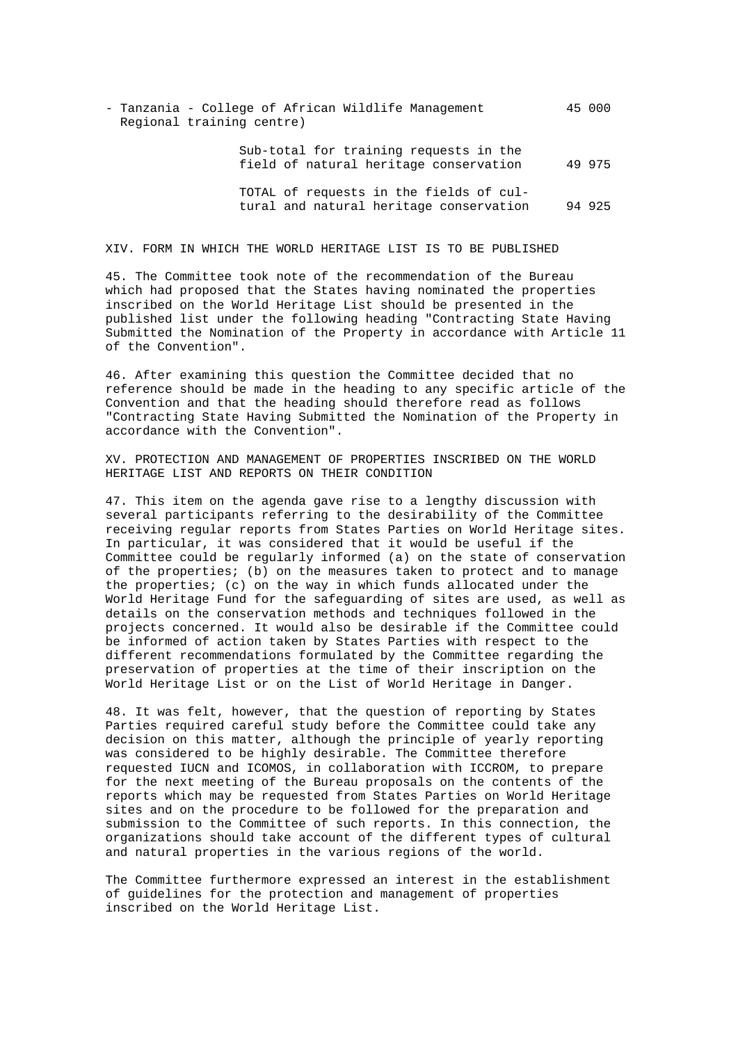| - Tanzania - College of African Wildlife Management<br>Regional training centre)   | 45 000 |
|------------------------------------------------------------------------------------|--------|
| Sub-total for training requests in the<br>field of natural heritage conservation   | 49 975 |
| TOTAL of requests in the fields of cul-<br>tural and natural heritage conservation | 94 925 |

XIV. FORM IN WHICH THE WORLD HERITAGE LIST IS TO BE PUBLISHED

45. The Committee took note of the recommendation of the Bureau which had proposed that the States having nominated the properties inscribed on the World Heritage List should be presented in the published list under the following heading "Contracting State Having Submitted the Nomination of the Property in accordance with Article 11 of the Convention".

46. After examining this question the Committee decided that no reference should be made in the heading to any specific article of the Convention and that the heading should therefore read as follows "Contracting State Having Submitted the Nomination of the Property in accordance with the Convention".

XV. PROTECTION AND MANAGEMENT OF PROPERTIES INSCRIBED ON THE WORLD HERITAGE LIST AND REPORTS ON THEIR CONDITION

47. This item on the agenda gave rise to a lengthy discussion with several participants referring to the desirability of the Committee receiving regular reports from States Parties on World Heritage sites. In particular, it was considered that it would be useful if the Committee could be regularly informed (a) on the state of conservation of the properties; (b) on the measures taken to protect and to manage the properties; (c) on the way in which funds allocated under the World Heritage Fund for the safeguarding of sites are used, as well as details on the conservation methods and techniques followed in the projects concerned. It would also be desirable if the Committee could be informed of action taken by States Parties with respect to the different recommendations formulated by the Committee regarding the preservation of properties at the time of their inscription on the World Heritage List or on the List of World Heritage in Danger.

48. It was felt, however, that the question of reporting by States Parties required careful study before the Committee could take any decision on this matter, although the principle of yearly reporting was considered to be highly desirable. The Committee therefore requested IUCN and ICOMOS, in collaboration with ICCROM, to prepare for the next meeting of the Bureau proposals on the contents of the reports which may be requested from States Parties on World Heritage sites and on the procedure to be followed for the preparation and submission to the Committee of such reports. In this connection, the organizations should take account of the different types of cultural and natural properties in the various regions of the world.

The Committee furthermore expressed an interest in the establishment of guidelines for the protection and management of properties inscribed on the World Heritage List.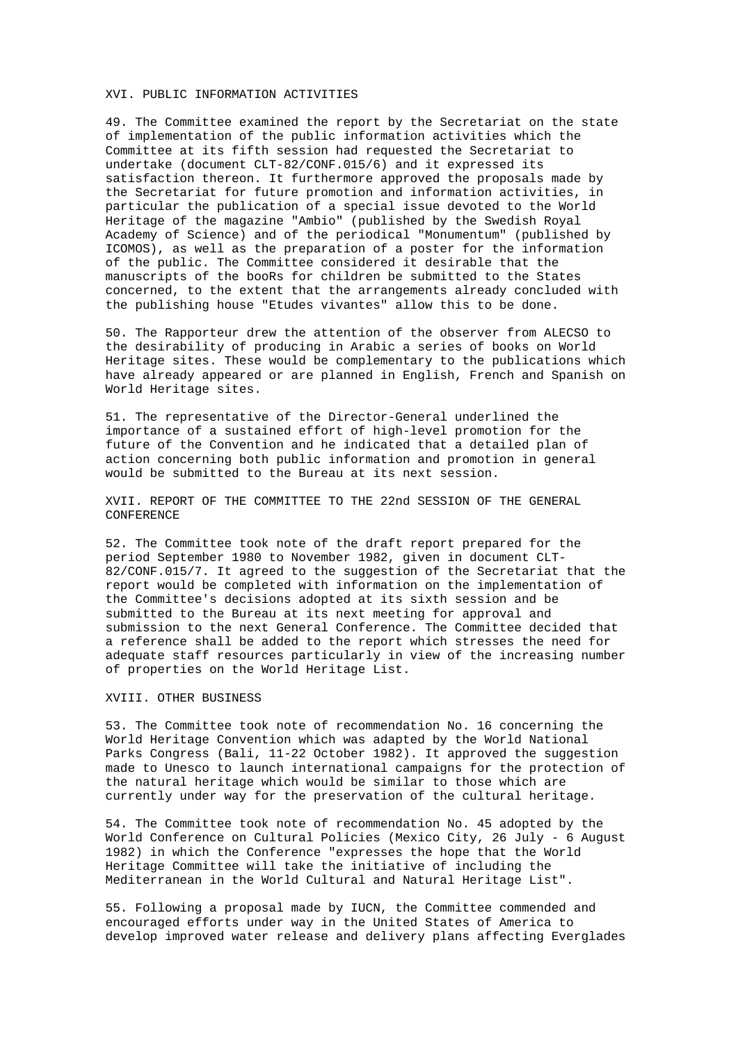#### XVI. PUBLIC INFORMATION ACTIVITIES

49. The Committee examined the report by the Secretariat on the state of implementation of the public information activities which the Committee at its fifth session had requested the Secretariat to undertake (document CLT-82/CONF.015/6) and it expressed its satisfaction thereon. It furthermore approved the proposals made by the Secretariat for future promotion and information activities, in particular the publication of a special issue devoted to the World Heritage of the magazine "Ambio" (published by the Swedish Royal Academy of Science) and of the periodical "Monumentum" (published by ICOMOS), as well as the preparation of a poster for the information of the public. The Committee considered it desirable that the manuscripts of the booRs for children be submitted to the States concerned, to the extent that the arrangements already concluded with the publishing house "Etudes vivantes" allow this to be done.

50. The Rapporteur drew the attention of the observer from ALECSO to the desirability of producing in Arabic a series of books on World Heritage sites. These would be complementary to the publications which have already appeared or are planned in English, French and Spanish on World Heritage sites.

51. The representative of the Director-General underlined the importance of a sustained effort of high-level promotion for the future of the Convention and he indicated that a detailed plan of action concerning both public information and promotion in general would be submitted to the Bureau at its next session.

XVII. REPORT OF THE COMMITTEE TO THE 22nd SESSION OF THE GENERAL CONFERENCE

52. The Committee took note of the draft report prepared for the period September 1980 to November 1982, given in document CLT-82/CONF.015/7. It agreed to the suggestion of the Secretariat that the report would be completed with information on the implementation of the Committee's decisions adopted at its sixth session and be submitted to the Bureau at its next meeting for approval and submission to the next General Conference. The Committee decided that a reference shall be added to the report which stresses the need for adequate staff resources particularly in view of the increasing number of properties on the World Heritage List.

### XVIII. OTHER BUSINESS

53. The Committee took note of recommendation No. 16 concerning the World Heritage Convention which was adapted by the World National Parks Congress (Bali, 11-22 October 1982). It approved the suggestion made to Unesco to launch international campaigns for the protection of the natural heritage which would be similar to those which are currently under way for the preservation of the cultural heritage.

54. The Committee took note of recommendation No. 45 adopted by the World Conference on Cultural Policies (Mexico City, 26 July - 6 August 1982) in which the Conference "expresses the hope that the World Heritage Committee will take the initiative of including the Mediterranean in the World Cultural and Natural Heritage List".

55. Following a proposal made by IUCN, the Committee commended and encouraged efforts under way in the United States of America to develop improved water release and delivery plans affecting Everglades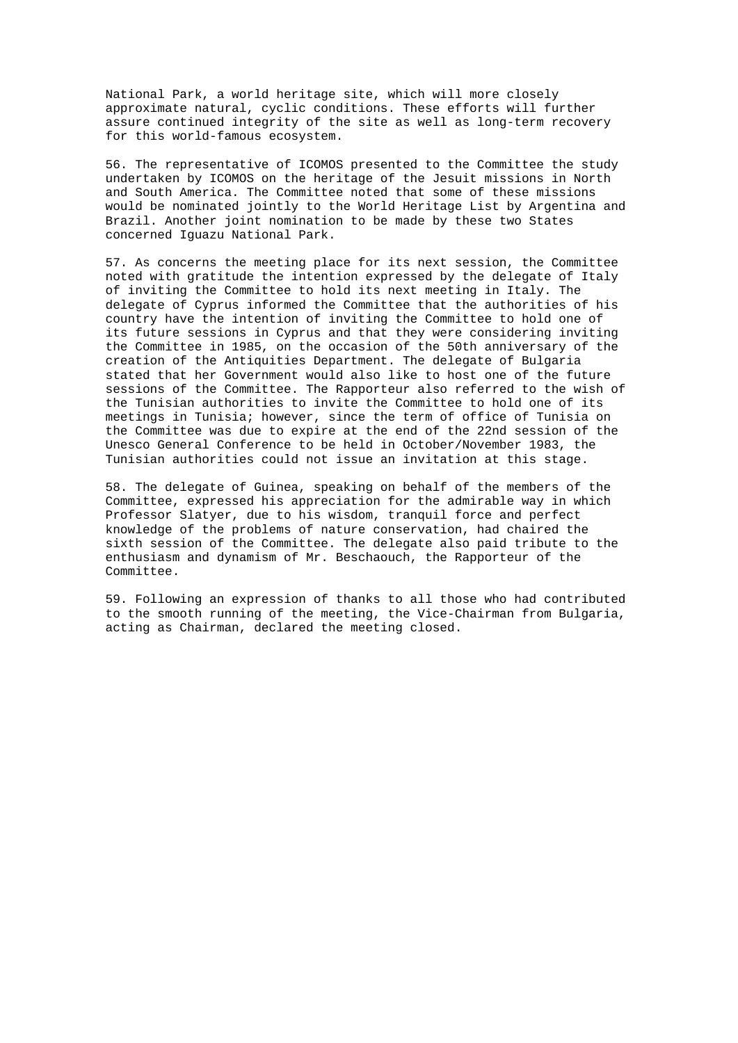National Park, a world heritage site, which will more closely approximate natural, cyclic conditions. These efforts will further assure continued integrity of the site as well as long-term recovery for this world-famous ecosystem.

56. The representative of ICOMOS presented to the Committee the study undertaken by ICOMOS on the heritage of the Jesuit missions in North and South America. The Committee noted that some of these missions would be nominated jointly to the World Heritage List by Argentina and Brazil. Another joint nomination to be made by these two States concerned Iguazu National Park.

57. As concerns the meeting place for its next session, the Committee noted with gratitude the intention expressed by the delegate of Italy of inviting the Committee to hold its next meeting in Italy. The delegate of Cyprus informed the Committee that the authorities of his country have the intention of inviting the Committee to hold one of its future sessions in Cyprus and that they were considering inviting the Committee in 1985, on the occasion of the 50th anniversary of the creation of the Antiquities Department. The delegate of Bulgaria stated that her Government would also like to host one of the future sessions of the Committee. The Rapporteur also referred to the wish of the Tunisian authorities to invite the Committee to hold one of its meetings in Tunisia; however, since the term of office of Tunisia on the Committee was due to expire at the end of the 22nd session of the Unesco General Conference to be held in October/November 1983, the Tunisian authorities could not issue an invitation at this stage.

58. The delegate of Guinea, speaking on behalf of the members of the Committee, expressed his appreciation for the admirable way in which Professor Slatyer, due to his wisdom, tranquil force and perfect knowledge of the problems of nature conservation, had chaired the sixth session of the Committee. The delegate also paid tribute to the enthusiasm and dynamism of Mr. Beschaouch, the Rapporteur of the Committee.

59. Following an expression of thanks to all those who had contributed to the smooth running of the meeting, the Vice-Chairman from Bulgaria, acting as Chairman, declared the meeting closed.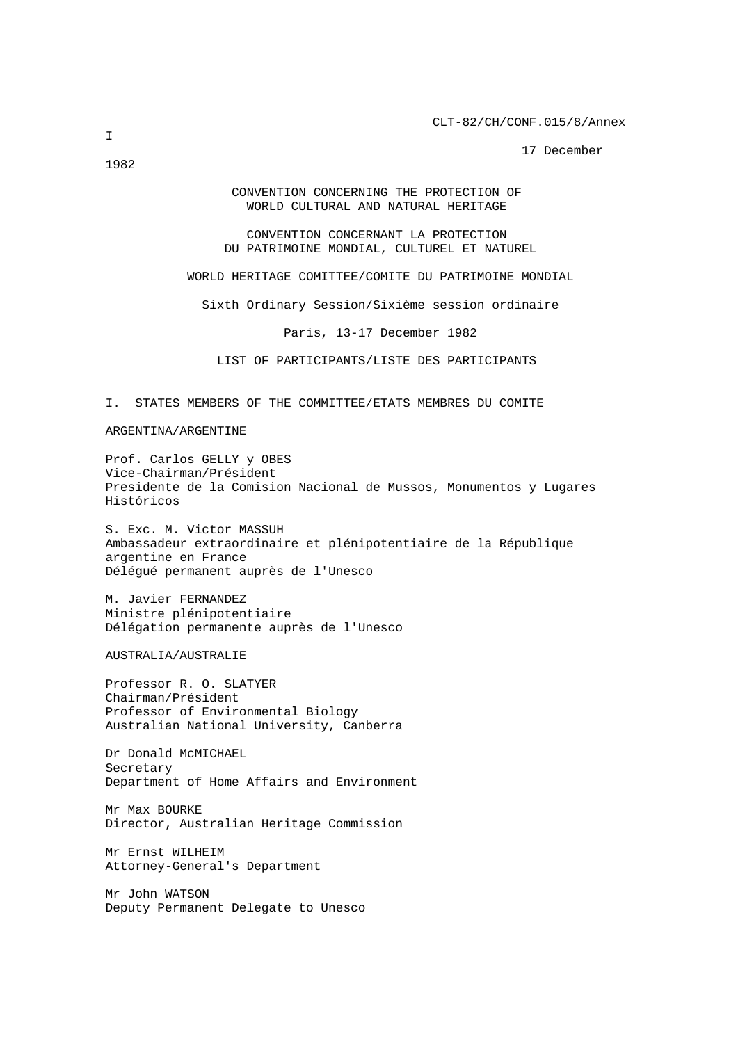CLT-82/CH/CONF.015/8/Annex

17 December

1982

 CONVENTION CONCERNING THE PROTECTION OF WORLD CULTURAL AND NATURAL HERITAGE

 CONVENTION CONCERNANT LA PROTECTION DU PATRIMOINE MONDIAL, CULTUREL ET NATUREL

WORLD HERITAGE COMITTEE/COMITE DU PATRIMOINE MONDIAL

Sixth Ordinary Session/Sixième session ordinaire

Paris, 13-17 December 1982

LIST OF PARTICIPANTS/LISTE DES PARTICIPANTS

I. STATES MEMBERS OF THE COMMITTEE/ETATS MEMBRES DU COMITE

ARGENTINA/ARGENTINE

Prof. Carlos GELLY y OBES Vice-Chairman/Président Presidente de la Comision Nacional de Mussos, Monumentos y Lugares Históricos

S. Exc. M. Victor MASSUH Ambassadeur extraordinaire et plénipotentiaire de la République argentine en France Délégué permanent auprès de l'Unesco

M. Javier FERNANDEZ Ministre plénipotentiaire Délégation permanente auprès de l'Unesco

AUSTRALIA/AUSTRALIE

Professor R. O. SLATYER Chairman/Président Professor of Environmental Biology Australian National University, Canberra

Dr Donald McMICHAEL Secretary Department of Home Affairs and Environment

Mr Max BOURKE Director, Australian Heritage Commission

Mr Ernst WILHEIM Attorney-General's Department

Mr John WATSON Deputy Permanent Delegate to Unesco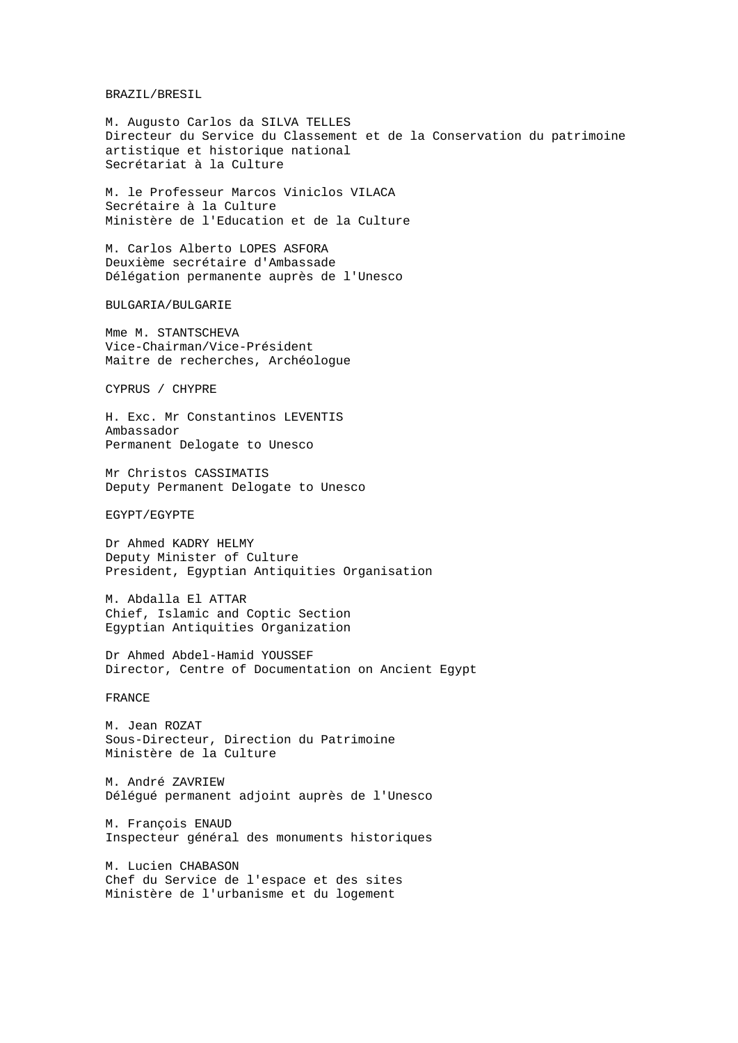BRAZIL/BRESIL

M. Augusto Carlos da SILVA TELLES Directeur du Service du Classement et de la Conservation du patrimoine artistique et historique national Secrétariat à la Culture

M. le Professeur Marcos Viniclos VILACA Secrétaire à la Culture Ministère de l'Education et de la Culture

M. Carlos Alberto LOPES ASFORA Deuxième secrétaire d'Ambassade Délégation permanente auprès de l'Unesco

BULGARIA/BULGARIE

Mme M. STANTSCHEVA Vice-Chairman/Vice-Président Maitre de recherches, Archéologue

CYPRUS / CHYPRE

H. Exc. Mr Constantinos LEVENTIS Ambassador Permanent Delogate to Unesco

Mr Christos CASSIMATIS Deputy Permanent Delogate to Unesco

EGYPT/EGYPTE

Dr Ahmed KADRY HELMY Deputy Minister of Culture President, Egyptian Antiquities Organisation

M. Abdalla El ATTAR Chief, Islamic and Coptic Section Egyptian Antiquities Organization

Dr Ahmed Abdel-Hamid YOUSSEF Director, Centre of Documentation on Ancient Egypt

FRANCE

M. Jean ROZAT Sous-Directeur, Direction du Patrimoine Ministère de la Culture

M. André ZAVRIEW Délégué permanent adjoint auprès de l'Unesco

M. François ENAUD Inspecteur général des monuments historiques

M. Lucien CHABASON Chef du Service de l'espace et des sites Ministère de l'urbanisme et du logement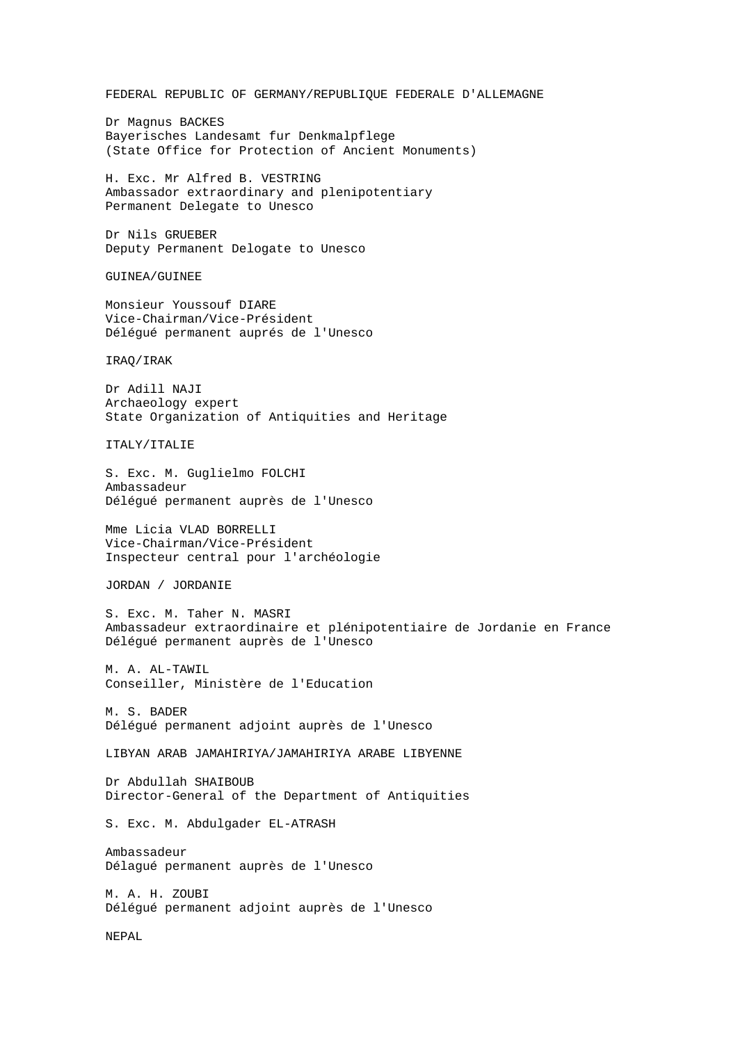FEDERAL REPUBLIC OF GERMANY/REPUBLIQUE FEDERALE D'ALLEMAGNE

Dr Magnus BACKES Bayerisches Landesamt fur Denkmalpflege (State Office for Protection of Ancient Monuments)

H. Exc. Mr Alfred B. VESTRING Ambassador extraordinary and plenipotentiary Permanent Delegate to Unesco

Dr Nils GRUEBER Deputy Permanent Delogate to Unesco

GUINEA/GUINEE

Monsieur Youssouf DIARE Vice-Chairman/Vice-Président Délégué permanent auprés de l'Unesco

IRAQ/IRAK

Dr Adill NAJI Archaeology expert State Organization of Antiquities and Heritage

ITALY/ITALIE

S. Exc. M. Guglielmo FOLCHI Ambassadeur Délégué permanent auprès de l'Unesco

Mme Licia VLAD BORRELLI Vice-Chairman/Vice-Président Inspecteur central pour l'archéologie

JORDAN / JORDANIE

S. Exc. M. Taher N. MASRI Ambassadeur extraordinaire et plénipotentiaire de Jordanie en France Délégué permanent auprès de l'Unesco

M. A. AL-TAWIL Conseiller, Ministère de l'Education

M. S. BADER Délégué permanent adjoint auprès de l'Unesco

LIBYAN ARAB JAMAHIRIYA/JAMAHIRIYA ARABE LIBYENNE

Dr Abdullah SHAIBOUB Director-General of the Department of Antiquities

S. Exc. M. Abdulgader EL-ATRASH

Ambassadeur Délagué permanent auprès de l'Unesco

M. A. H. ZOUBI Délégué permanent adjoint auprès de l'Unesco

NEPAL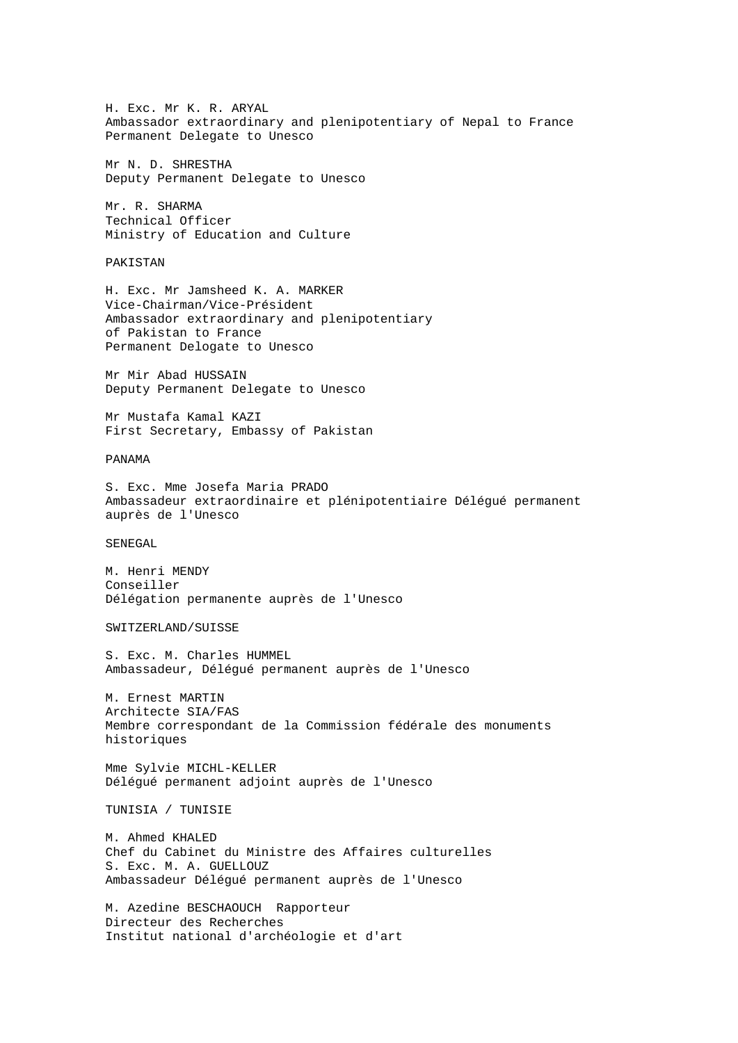Ambassador extraordinary and plenipotentiary of Nepal to France Permanent Delegate to Unesco Mr N. D. SHRESTHA Deputy Permanent Delegate to Unesco Mr. R. SHARMA Technical Officer Ministry of Education and Culture PAKISTAN H. Exc. Mr Jamsheed K. A. MARKER Vice-Chairman/Vice-Président Ambassador extraordinary and plenipotentiary of Pakistan to France Permanent Delogate to Unesco Mr Mir Abad HUSSAIN Deputy Permanent Delegate to Unesco Mr Mustafa Kamal KAZI First Secretary, Embassy of Pakistan PANAMA S. Exc. Mme Josefa Maria PRADO Ambassadeur extraordinaire et plénipotentiaire Délégué permanent auprès de l'Unesco SENEGAL M. Henri MENDY Conseiller Délégation permanente auprès de l'Unesco SWITZERLAND/SUISSE S. Exc. M. Charles HUMMEL Ambassadeur, Délégué permanent auprès de l'Unesco M. Ernest MARTIN Architecte SIA/FAS Membre correspondant de la Commission fédérale des monuments historiques Mme Sylvie MICHL-KELLER Délégué permanent adjoint auprès de l'Unesco TUNISIA / TUNISIE M. Ahmed KHALED Chef du Cabinet du Ministre des Affaires culturelles S. Exc. M. A. GUELLOUZ Ambassadeur Délégué permanent auprès de l'Unesco M. Azedine BESCHAOUCH Rapporteur Directeur des Recherches Institut national d'archéologie et d'art

H. Exc. Mr K. R. ARYAL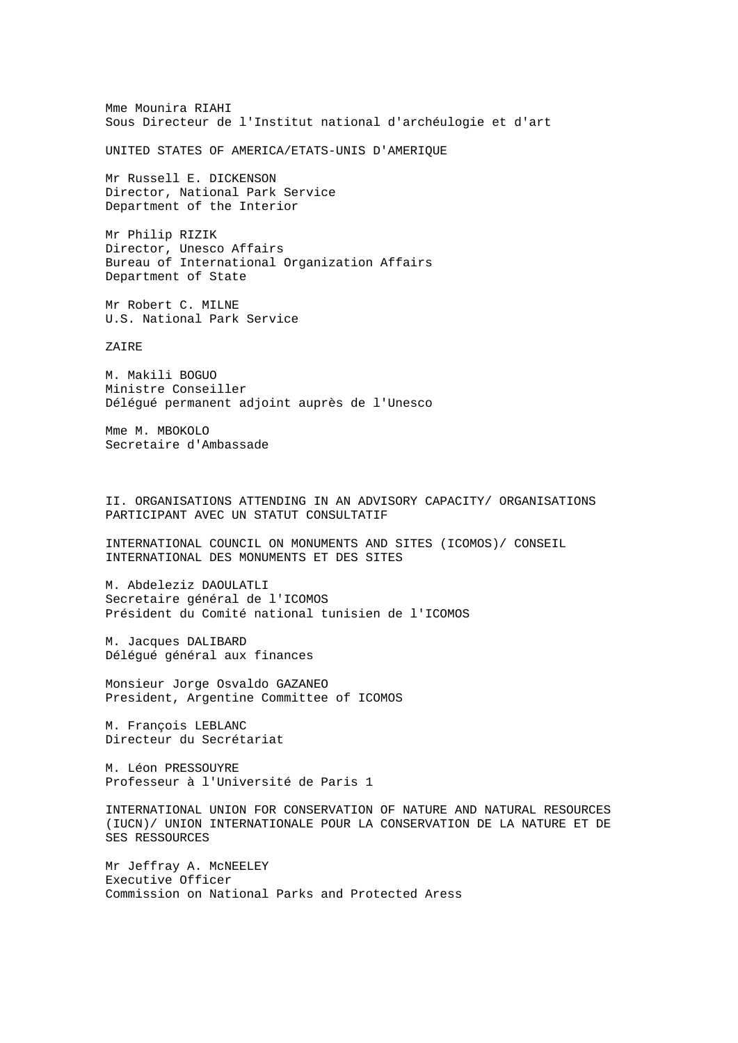Mme Mounira RIAHI Sous Directeur de l'Institut national d'archéulogie et d'art

UNITED STATES OF AMERICA/ETATS-UNIS D'AMERIQUE

Mr Russell E. DICKENSON Director, National Park Service Department of the Interior

Mr Philip RIZIK Director, Unesco Affairs Bureau of International Organization Affairs Department of State

Mr Robert C. MILNE U.S. National Park Service

ZAIRE

M. Makili BOGUO Ministre Conseiller Délégué permanent adjoint auprès de l'Unesco

Mme M. MBOKOLO Secretaire d'Ambassade

II. ORGANISATIONS ATTENDING IN AN ADVISORY CAPACITY/ ORGANISATIONS PARTICIPANT AVEC UN STATUT CONSULTATIF

INTERNATIONAL COUNCIL ON MONUMENTS AND SITES (ICOMOS)/ CONSEIL INTERNATIONAL DES MONUMENTS ET DES SITES

M. Abdeleziz DAOULATLI Secretaire général de l'ICOMOS Président du Comité national tunisien de l'ICOMOS

M. Jacques DALIBARD Délégué général aux finances

Monsieur Jorge Osvaldo GAZANEO President, Argentine Committee of ICOMOS

M. François LEBLANC Directeur du Secrétariat

M. Léon PRESSOUYRE Professeur à l'Université de Paris 1

INTERNATIONAL UNION FOR CONSERVATION OF NATURE AND NATURAL RESOURCES (IUCN)/ UNION INTERNATIONALE POUR LA CONSERVATION DE LA NATURE ET DE SES RESSOURCES

Mr Jeffray A. McNEELEY Executive Officer Commission on National Parks and Protected Aress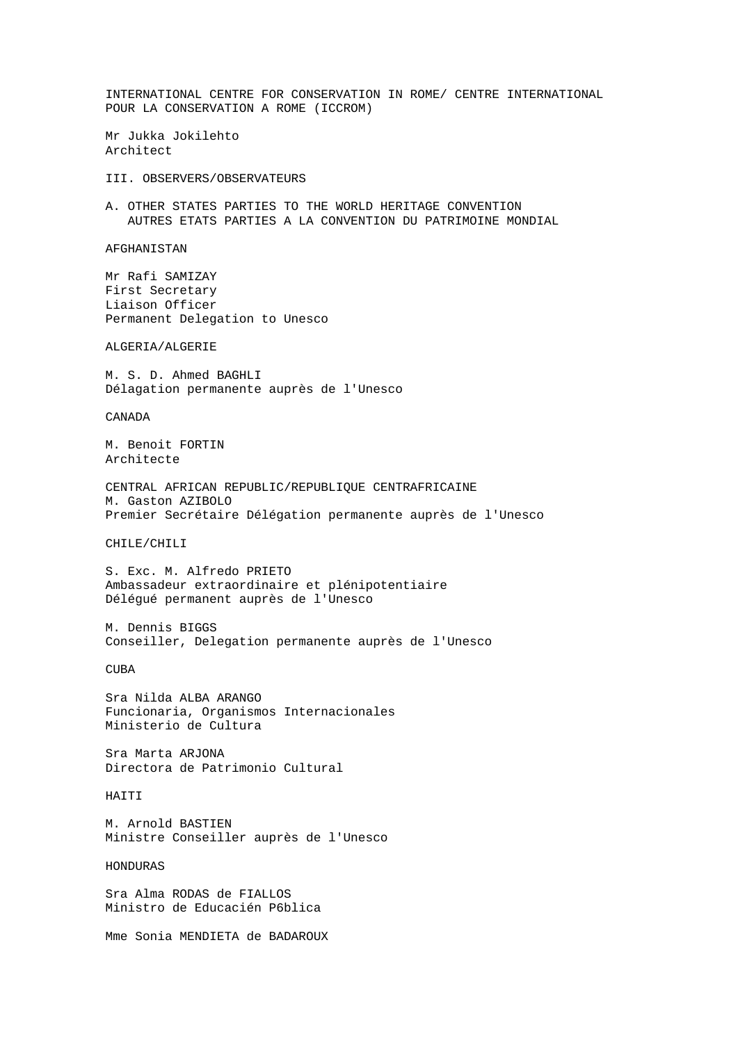INTERNATIONAL CENTRE FOR CONSERVATION IN ROME/ CENTRE INTERNATIONAL POUR LA CONSERVATION A ROME (ICCROM)

Mr Jukka Jokilehto Architect

III. OBSERVERS/OBSERVATEURS

A. OTHER STATES PARTIES TO THE WORLD HERITAGE CONVENTION AUTRES ETATS PARTIES A LA CONVENTION DU PATRIMOINE MONDIAL

AFGHANISTAN

Mr Rafi SAMIZAY First Secretary Liaison Officer Permanent Delegation to Unesco

ALGERIA/ALGERIE

M. S. D. Ahmed BAGHLI Délagation permanente auprès de l'Unesco

CANADA

M. Benoit FORTIN Architecte

CENTRAL AFRICAN REPUBLIC/REPUBLIQUE CENTRAFRICAINE M. Gaston AZIBOLO Premier Secrétaire Délégation permanente auprès de l'Unesco

CHILE/CHILI

S. Exc. M. Alfredo PRIETO Ambassadeur extraordinaire et plénipotentiaire Délégué permanent auprès de l'Unesco

M. Dennis BIGGS Conseiller, Delegation permanente auprès de l'Unesco

CUBA

Sra Nilda ALBA ARANGO Funcionaria, Organismos Internacionales Ministerio de Cultura

Sra Marta ARJONA Directora de Patrimonio Cultural

HAITT

M. Arnold BASTIEN Ministre Conseiller auprès de l'Unesco

HONDURAS

Sra Alma RODAS de FIALLOS Ministro de Educacién P6blica

Mme Sonia MENDIETA de BADAROUX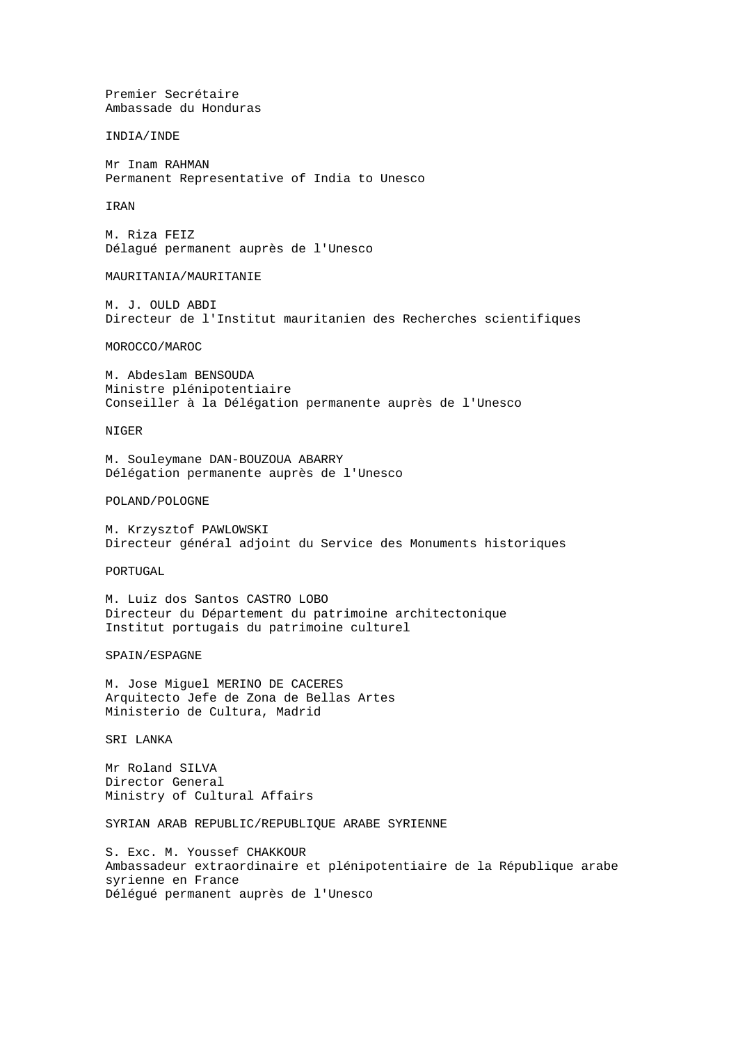Premier Secrétaire Ambassade du Honduras

INDIA/INDE

Mr Inam RAHMAN Permanent Representative of India to Unesco

IRAN

M. Riza FEIZ Délagué permanent auprès de l'Unesco

MAURITANIA/MAURITANIE

M. J. OULD ABDI Directeur de l'Institut mauritanien des Recherches scientifiques

MOROCCO/MAROC

M. Abdeslam BENSOUDA Ministre plénipotentiaire Conseiller à la Délégation permanente auprès de l'Unesco

NIGER

M. Souleymane DAN-BOUZOUA ABARRY Délégation permanente auprès de l'Unesco

POLAND/POLOGNE

M. Krzysztof PAWLOWSKI Directeur général adjoint du Service des Monuments historiques

PORTUGAL

M. Luiz dos Santos CASTRO LOBO Directeur du Département du patrimoine architectonique Institut portugais du patrimoine culturel

SPAIN/ESPAGNE

M. Jose Miguel MERINO DE CACERES Arquitecto Jefe de Zona de Bellas Artes Ministerio de Cultura, Madrid

SRI LANKA

Mr Roland SILVA Director General Ministry of Cultural Affairs

SYRIAN ARAB REPUBLIC/REPUBLIQUE ARABE SYRIENNE

S. Exc. M. Youssef CHAKKOUR Ambassadeur extraordinaire et plénipotentiaire de la République arabe syrienne en France Délégué permanent auprès de l'Unesco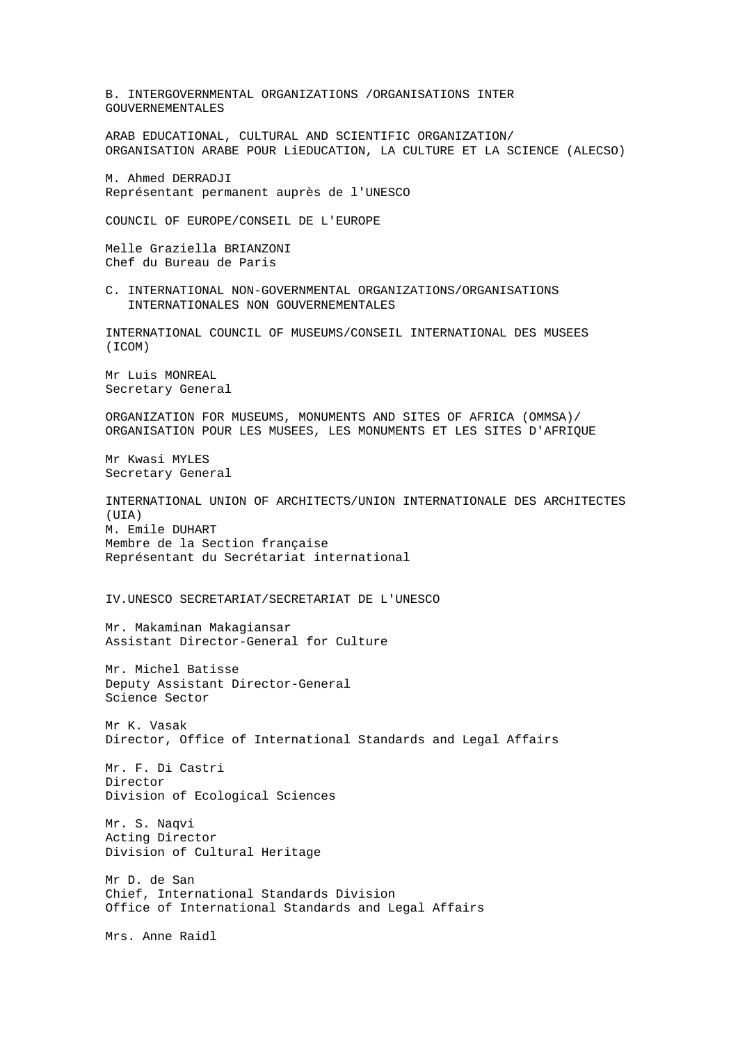B. INTERGOVERNMENTAL ORGANIZATIONS /ORGANISATIONS INTER GOUVERNEMENTALES ARAB EDUCATIONAL, CULTURAL AND SCIENTIFIC ORGANIZATION/ ORGANISATION ARABE POUR LiEDUCATION, LA CULTURE ET LA SCIENCE (ALECSO) M. Ahmed DERRADJI Représentant permanent auprès de l'UNESCO COUNCIL OF EUROPE/CONSEIL DE L'EUROPE Melle Graziella BRIANZONI Chef du Bureau de Paris C. INTERNATIONAL NON-GOVERNMENTAL ORGANIZATIONS/ORGANISATIONS INTERNATIONALES NON GOUVERNEMENTALES INTERNATIONAL COUNCIL OF MUSEUMS/CONSEIL INTERNATIONAL DES MUSEES (ICOM) Mr Luis MONREAL Secretary General ORGANIZATION FOR MUSEUMS, MONUMENTS AND SITES OF AFRICA (OMMSA)/ ORGANISATION POUR LES MUSEES, LES MONUMENTS ET LES SITES D'AFRIQUE Mr Kwasi MYLES Secretary General INTERNATIONAL UNION OF ARCHITECTS/UNION INTERNATIONALE DES ARCHITECTES  $(IIIA)$ M. Emile DUHART Membre de la Section française Représentant du Secrétariat international IV.UNESCO SECRETARIAT/SECRETARIAT DE L'UNESCO Mr. Makaminan Makagiansar Assistant Director-General for Culture Mr. Michel Batisse Deputy Assistant Director-General Science Sector Mr K. Vasak Director, Office of International Standards and Legal Affairs Mr. F. Di Castri Director Division of Ecological Sciences Mr. S. Naqvi Acting Director Division of Cultural Heritage Mr D. de San Chief, International Standards Division Office of International Standards and Legal Affairs Mrs. Anne Raidl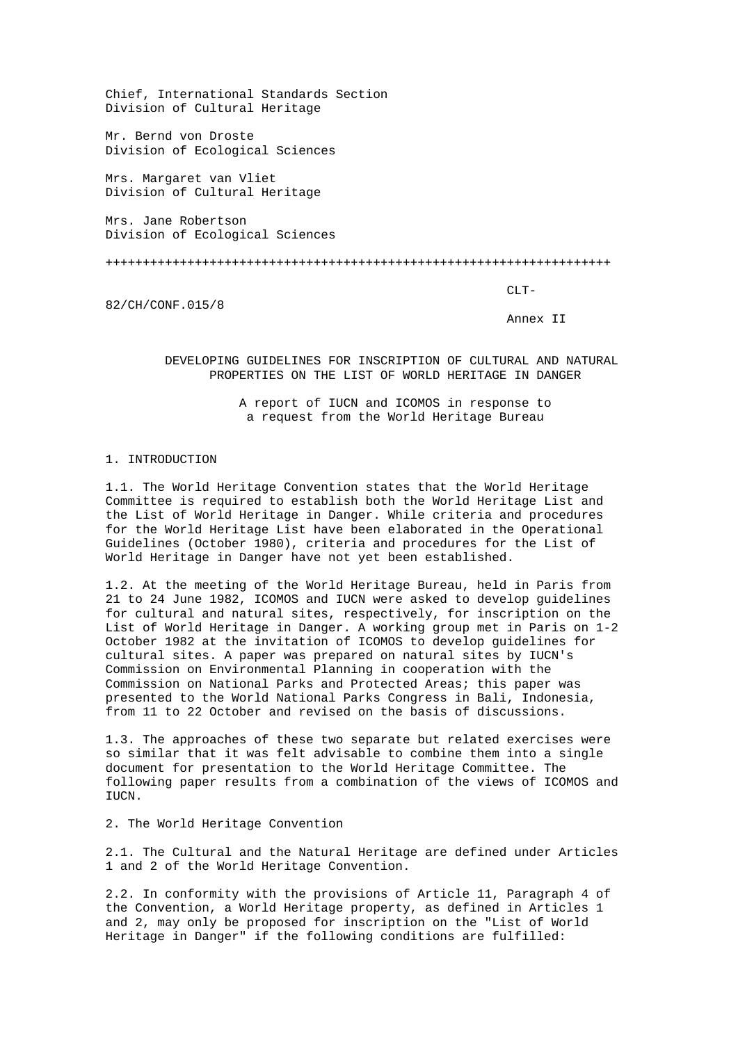Chief, International Standards Section Division of Cultural Heritage

Mr. Bernd von Droste Division of Ecological Sciences

Mrs. Margaret van Vliet Division of Cultural Heritage

Mrs. Jane Robertson Division of Ecological Sciences

++++++++++++++++++++++++++++++++++++++++++++++++++++++++++++++++++++

CLT-

82/CH/CONF.015/8

Annex II

 DEVELOPING GUIDELINES FOR INSCRIPTION OF CULTURAL AND NATURAL PROPERTIES ON THE LIST OF WORLD HERITAGE IN DANGER

> A report of IUCN and ICOMOS in response to a request from the World Heritage Bureau

#### 1. INTRODUCTION

1.1. The World Heritage Convention states that the World Heritage Committee is required to establish both the World Heritage List and the List of World Heritage in Danger. While criteria and procedures for the World Heritage List have been elaborated in the Operational Guidelines (October 1980), criteria and procedures for the List of World Heritage in Danger have not yet been established.

1.2. At the meeting of the World Heritage Bureau, held in Paris from 21 to 24 June 1982, ICOMOS and IUCN were asked to develop guidelines for cultural and natural sites, respectively, for inscription on the List of World Heritage in Danger. A working group met in Paris on 1-2 October 1982 at the invitation of ICOMOS to develop guidelines for cultural sites. A paper was prepared on natural sites by IUCN's Commission on Environmental Planning in cooperation with the Commission on National Parks and Protected Areas; this paper was presented to the World National Parks Congress in Bali, Indonesia, from 11 to 22 October and revised on the basis of discussions.

1.3. The approaches of these two separate but related exercises were so similar that it was felt advisable to combine them into a single document for presentation to the World Heritage Committee. The following paper results from a combination of the views of ICOMOS and TIICN.

# 2. The World Heritage Convention

2.1. The Cultural and the Natural Heritage are defined under Articles 1 and 2 of the World Heritage Convention.

2.2. In conformity with the provisions of Article 11, Paragraph 4 of the Convention, a World Heritage property, as defined in Articles 1 and 2, may only be proposed for inscription on the "List of World Heritage in Danger" if the following conditions are fulfilled: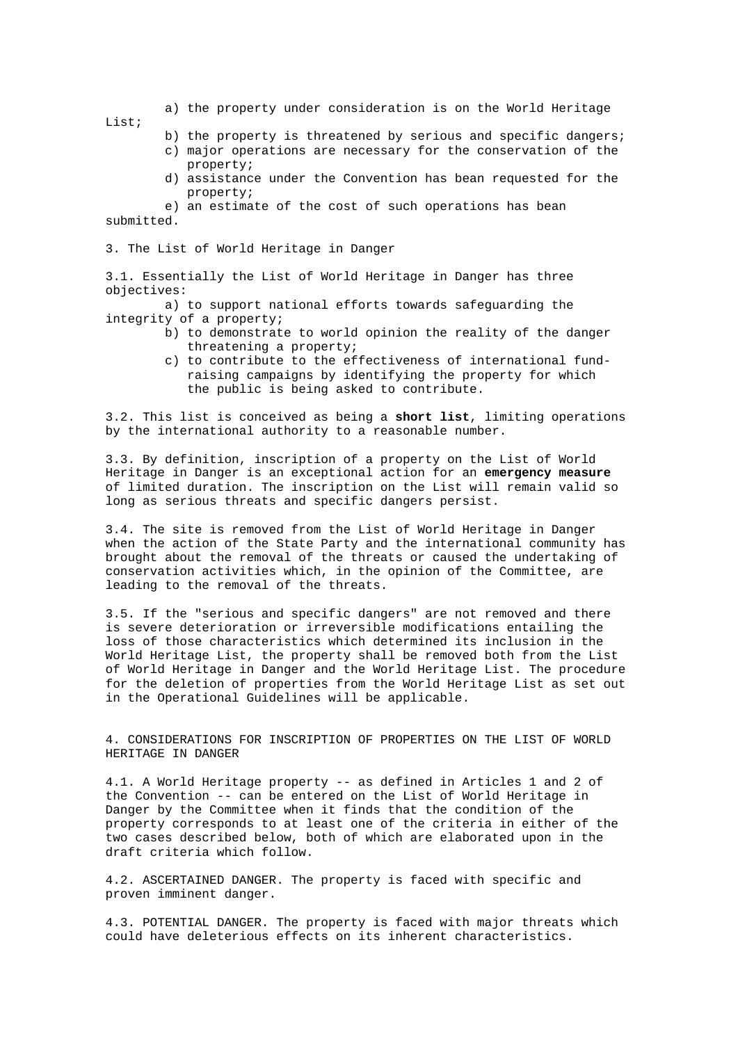a) the property under consideration is on the World Heritage

List;

- b) the property is threatened by serious and specific dangers;
- c) major operations are necessary for the conservation of the property;
- d) assistance under the Convention has bean requested for the property;

 e) an estimate of the cost of such operations has bean submitted.

3. The List of World Heritage in Danger

3.1. Essentially the List of World Heritage in Danger has three objectives:

 a) to support national efforts towards safeguarding the integrity of a property;

- b) to demonstrate to world opinion the reality of the danger threatening a property;
- c) to contribute to the effectiveness of international fund raising campaigns by identifying the property for which the public is being asked to contribute.

3.2. This list is conceived as being a **short list**, limiting operations by the international authority to a reasonable number.

3.3. By definition, inscription of a property on the List of World Heritage in Danger is an exceptional action for an **emergency measure** of limited duration. The inscription on the List will remain valid so long as serious threats and specific dangers persist.

3.4. The site is removed from the List of World Heritage in Danger when the action of the State Party and the international community has brought about the removal of the threats or caused the undertaking of conservation activities which, in the opinion of the Committee, are leading to the removal of the threats.

3.5. If the "serious and specific dangers" are not removed and there is severe deterioration or irreversible modifications entailing the loss of those characteristics which determined its inclusion in the World Heritage List, the property shall be removed both from the List of World Heritage in Danger and the World Heritage List. The procedure for the deletion of properties from the World Heritage List as set out in the Operational Guidelines will be applicable.

4. CONSIDERATIONS FOR INSCRIPTION OF PROPERTIES ON THE LIST OF WORLD HERITAGE IN DANGER

4.1. A World Heritage property -- as defined in Articles 1 and 2 of the Convention -- can be entered on the List of World Heritage in Danger by the Committee when it finds that the condition of the property corresponds to at least one of the criteria in either of the two cases described below, both of which are elaborated upon in the draft criteria which follow.

4.2. ASCERTAINED DANGER. The property is faced with specific and proven imminent danger.

4.3. POTENTIAL DANGER. The property is faced with major threats which could have deleterious effects on its inherent characteristics.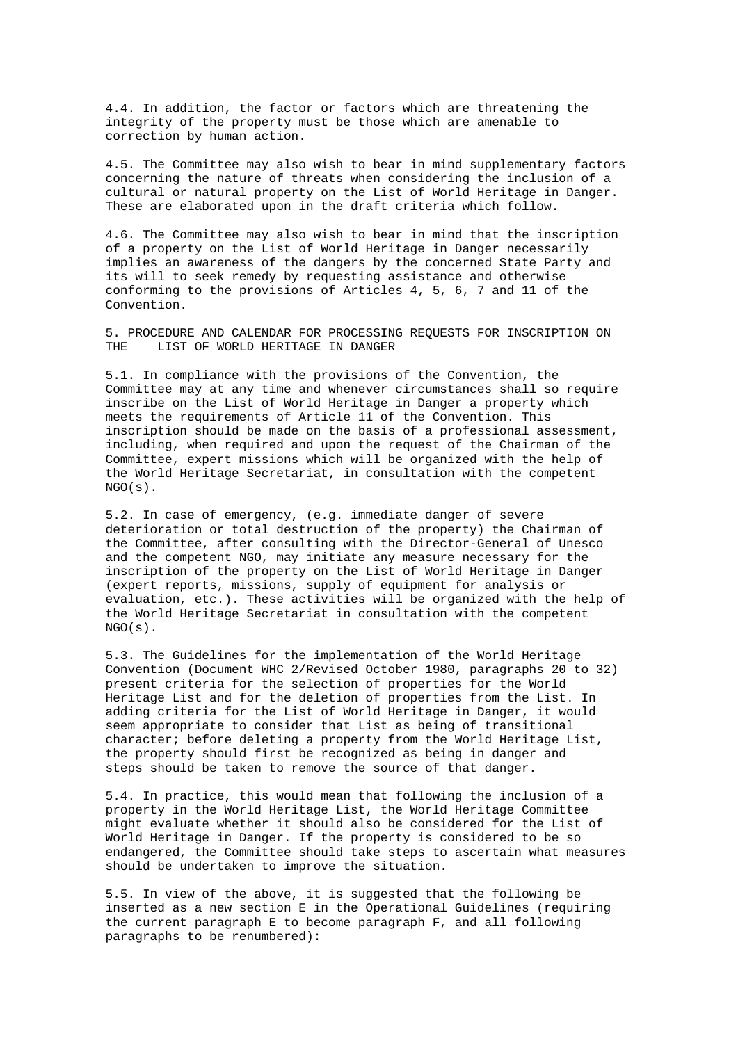4.4. In addition, the factor or factors which are threatening the integrity of the property must be those which are amenable to correction by human action.

4.5. The Committee may also wish to bear in mind supplementary factors concerning the nature of threats when considering the inclusion of a cultural or natural property on the List of World Heritage in Danger. These are elaborated upon in the draft criteria which follow.

4.6. The Committee may also wish to bear in mind that the inscription of a property on the List of World Heritage in Danger necessarily implies an awareness of the dangers by the concerned State Party and its will to seek remedy by requesting assistance and otherwise conforming to the provisions of Articles 4, 5, 6, 7 and 11 of the Convention.

5. PROCEDURE AND CALENDAR FOR PROCESSING REQUESTS FOR INSCRIPTION ON THE LIST OF WORLD HERITAGE IN DANGER

5.1. In compliance with the provisions of the Convention, the Committee may at any time and whenever circumstances shall so require inscribe on the List of World Heritage in Danger a property which meets the requirements of Article 11 of the Convention. This inscription should be made on the basis of a professional assessment, including, when required and upon the request of the Chairman of the Committee, expert missions which will be organized with the help of the World Heritage Secretariat, in consultation with the competent NGO(s).

5.2. In case of emergency, (e.g. immediate danger of severe deterioration or total destruction of the property) the Chairman of the Committee, after consulting with the Director-General of Unesco and the competent NGO, may initiate any measure necessary for the inscription of the property on the List of World Heritage in Danger (expert reports, missions, supply of equipment for analysis or evaluation, etc.). These activities will be organized with the help of the World Heritage Secretariat in consultation with the competent  $NGO(S)$ .

5.3. The Guidelines for the implementation of the World Heritage Convention (Document WHC 2/Revised October 1980, paragraphs 20 to 32) present criteria for the selection of properties for the World Heritage List and for the deletion of properties from the List. In adding criteria for the List of World Heritage in Danger, it would seem appropriate to consider that List as being of transitional character; before deleting a property from the World Heritage List, the property should first be recognized as being in danger and steps should be taken to remove the source of that danger.

5.4. In practice, this would mean that following the inclusion of a property in the World Heritage List, the World Heritage Committee might evaluate whether it should also be considered for the List of World Heritage in Danger. If the property is considered to be so endangered, the Committee should take steps to ascertain what measures should be undertaken to improve the situation.

5.5. In view of the above, it is suggested that the following be inserted as a new section E in the Operational Guidelines (requiring the current paragraph E to become paragraph F, and all following paragraphs to be renumbered):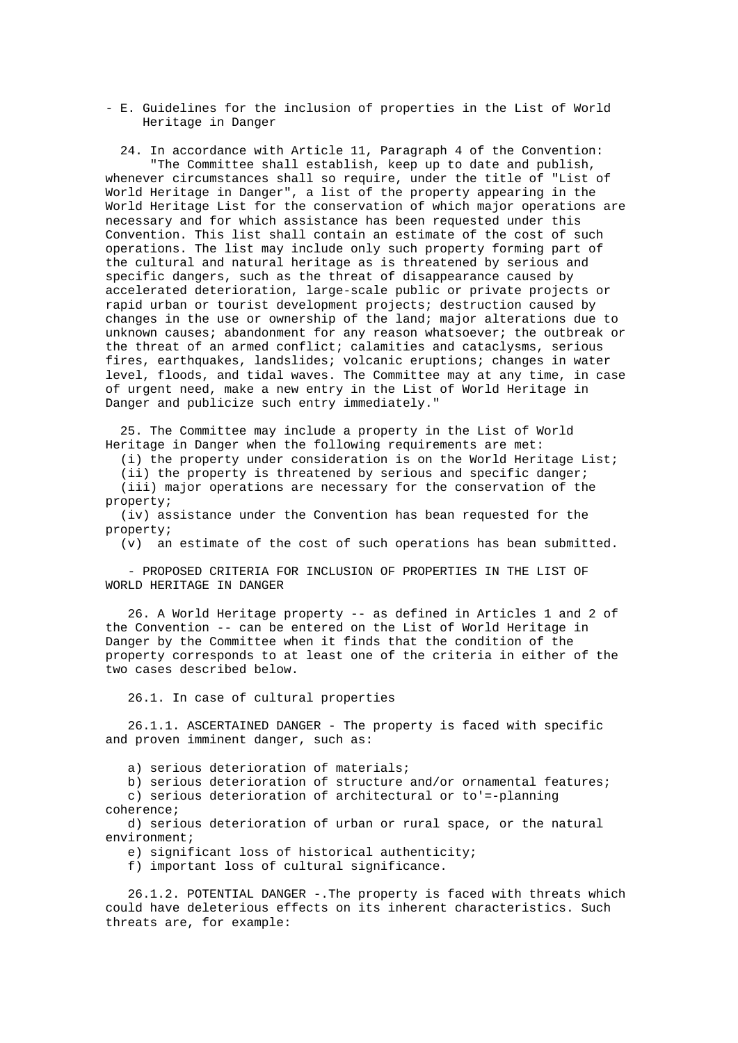- E. Guidelines for the inclusion of properties in the List of World Heritage in Danger

 24. In accordance with Article 11, Paragraph 4 of the Convention: "The Committee shall establish, keep up to date and publish, whenever circumstances shall so require, under the title of "List of World Heritage in Danger", a list of the property appearing in the World Heritage List for the conservation of which major operations are necessary and for which assistance has been requested under this Convention. This list shall contain an estimate of the cost of such operations. The list may include only such property forming part of the cultural and natural heritage as is threatened by serious and specific dangers, such as the threat of disappearance caused by accelerated deterioration, large-scale public or private projects or rapid urban or tourist development projects; destruction caused by changes in the use or ownership of the land; major alterations due to unknown causes; abandonment for any reason whatsoever; the outbreak or the threat of an armed conflict; calamities and cataclysms, serious fires, earthquakes, landslides; volcanic eruptions; changes in water level, floods, and tidal waves. The Committee may at any time, in case of urgent need, make a new entry in the List of World Heritage in Danger and publicize such entry immediately."

 25. The Committee may include a property in the List of World Heritage in Danger when the following requirements are met:

(i) the property under consideration is on the World Heritage List;

(ii) the property is threatened by serious and specific danger;

 (iii) major operations are necessary for the conservation of the property;

 (iv) assistance under the Convention has bean requested for the property;

(v) an estimate of the cost of such operations has bean submitted.

 - PROPOSED CRITERIA FOR INCLUSION OF PROPERTIES IN THE LIST OF WORLD HERITAGE IN DANGER

 26. A World Heritage property -- as defined in Articles 1 and 2 of the Convention -- can be entered on the List of World Heritage in Danger by the Committee when it finds that the condition of the property corresponds to at least one of the criteria in either of the two cases described below.

26.1. In case of cultural properties

 26.1.1. ASCERTAINED DANGER - The property is faced with specific and proven imminent danger, such as:

a) serious deterioration of materials;

b) serious deterioration of structure and/or ornamental features;

 c) serious deterioration of architectural or to'=-planning coherence;

 d) serious deterioration of urban or rural space, or the natural environment;

e) significant loss of historical authenticity;

f) important loss of cultural significance.

 26.1.2. POTENTIAL DANGER -.The property is faced with threats which could have deleterious effects on its inherent characteristics. Such threats are, for example: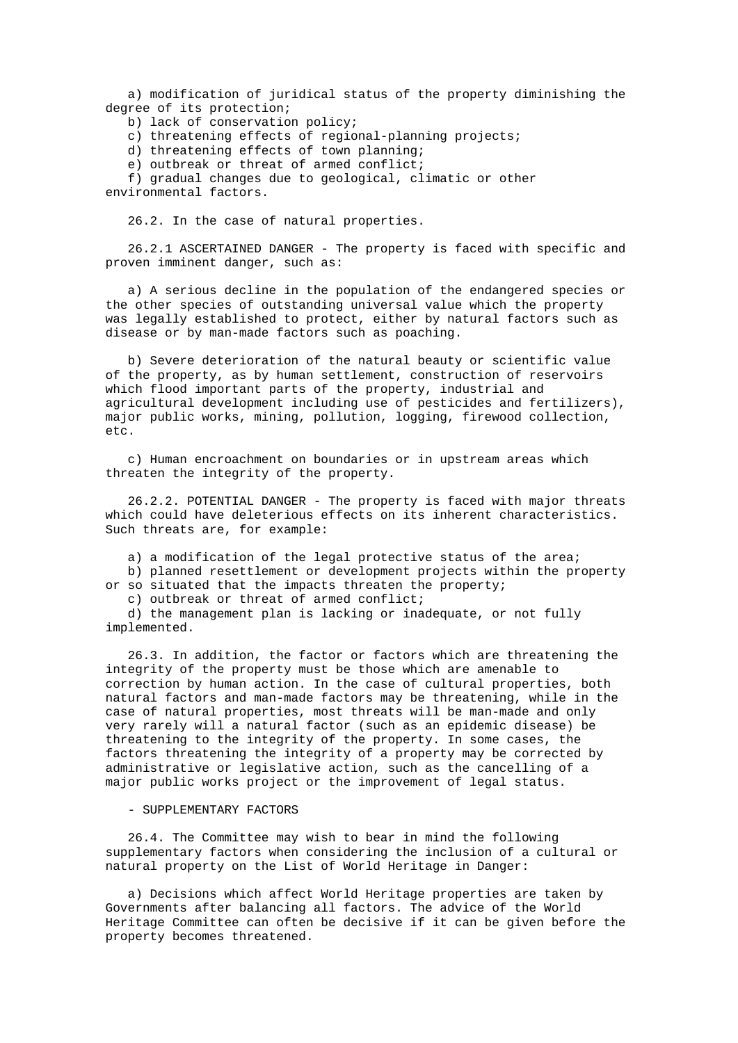a) modification of juridical status of the property diminishing the degree of its protection;

b) lack of conservation policy;

c) threatening effects of regional-planning projects;

d) threatening effects of town planning;

e) outbreak or threat of armed conflict;

 f) gradual changes due to geological, climatic or other environmental factors.

26.2. In the case of natural properties.

 26.2.1 ASCERTAINED DANGER - The property is faced with specific and proven imminent danger, such as:

 a) A serious decline in the population of the endangered species or the other species of outstanding universal value which the property was legally established to protect, either by natural factors such as disease or by man-made factors such as poaching.

 b) Severe deterioration of the natural beauty or scientific value of the property, as by human settlement, construction of reservoirs which flood important parts of the property, industrial and agricultural development including use of pesticides and fertilizers), major public works, mining, pollution, logging, firewood collection,  $e^+e^-$ 

 c) Human encroachment on boundaries or in upstream areas which threaten the integrity of the property.

 26.2.2. POTENTIAL DANGER - The property is faced with major threats which could have deleterious effects on its inherent characteristics. Such threats are, for example:

a) a modification of the legal protective status of the area;

b) planned resettlement or development projects within the property

or so situated that the impacts threaten the property;

c) outbreak or threat of armed conflict;

 d) the management plan is lacking or inadequate, or not fully implemented.

 26.3. In addition, the factor or factors which are threatening the integrity of the property must be those which are amenable to correction by human action. In the case of cultural properties, both natural factors and man-made factors may be threatening, while in the case of natural properties, most threats will be man-made and only very rarely will a natural factor (such as an epidemic disease) be threatening to the integrity of the property. In some cases, the factors threatening the integrity of a property may be corrected by administrative or legislative action, such as the cancelling of a major public works project or the improvement of legal status.

- SUPPLEMENTARY FACTORS

 26.4. The Committee may wish to bear in mind the following supplementary factors when considering the inclusion of a cultural or natural property on the List of World Heritage in Danger:

 a) Decisions which affect World Heritage properties are taken by Governments after balancing all factors. The advice of the World Heritage Committee can often be decisive if it can be given before the property becomes threatened.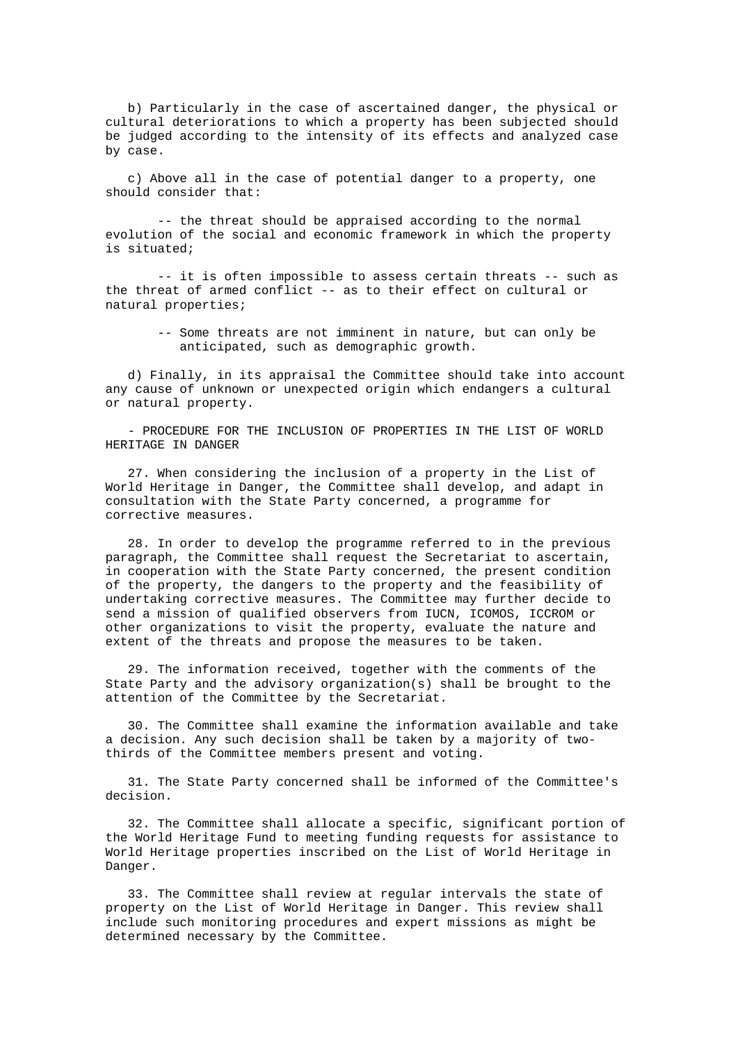b) Particularly in the case of ascertained danger, the physical or cultural deteriorations to which a property has been subjected should be judged according to the intensity of its effects and analyzed case by case.

 c) Above all in the case of potential danger to a property, one should consider that:

 -- the threat should be appraised according to the normal evolution of the social and economic framework in which the property is situated;

 -- it is often impossible to assess certain threats -- such as the threat of armed conflict -- as to their effect on cultural or natural properties;

> -- Some threats are not imminent in nature, but can only be anticipated, such as demographic growth.

 d) Finally, in its appraisal the Committee should take into account any cause of unknown or unexpected origin which endangers a cultural or natural property.

 - PROCEDURE FOR THE INCLUSION OF PROPERTIES IN THE LIST OF WORLD HERITAGE IN DANGER

 27. When considering the inclusion of a property in the List of World Heritage in Danger, the Committee shall develop, and adapt in consultation with the State Party concerned, a programme for corrective measures.

 28. In order to develop the programme referred to in the previous paragraph, the Committee shall request the Secretariat to ascertain, in cooperation with the State Party concerned, the present condition of the property, the dangers to the property and the feasibility of undertaking corrective measures. The Committee may further decide to send a mission of qualified observers from IUCN, ICOMOS, ICCROM or other organizations to visit the property, evaluate the nature and extent of the threats and propose the measures to be taken.

 29. The information received, together with the comments of the State Party and the advisory organization(s) shall be brought to the attention of the Committee by the Secretariat.

 30. The Committee shall examine the information available and take a decision. Any such decision shall be taken by a majority of twothirds of the Committee members present and voting.

 31. The State Party concerned shall be informed of the Committee's decision.

 32. The Committee shall allocate a specific, significant portion of the World Heritage Fund to meeting funding requests for assistance to World Heritage properties inscribed on the List of World Heritage in Danger.

 33. The Committee shall review at regular intervals the state of property on the List of World Heritage in Danger. This review shall include such monitoring procedures and expert missions as might be determined necessary by the Committee.